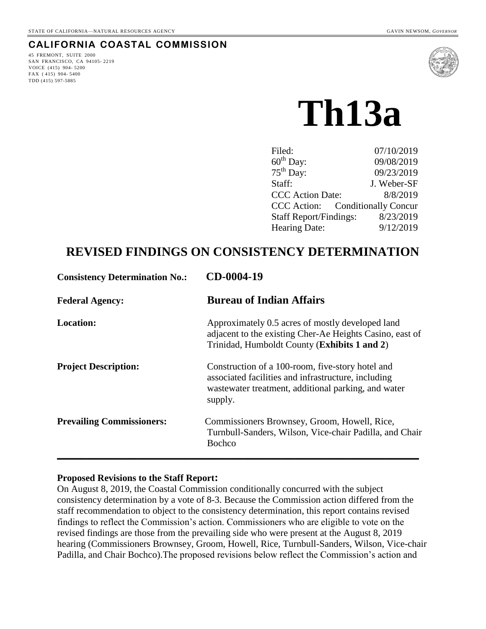## **CALIFORNIA COASTAL COMMISSION**

45 FREMONT, SUITE 2000 SAN FRANCISCO, CA 94105- 2219 VOICE (415) 904- 5200 FAX ( 415) 904- 5400 TDD (415) 597-5885



# **Th13a**

| 07/10/2019                       |
|----------------------------------|
| 09/08/2019                       |
| 09/23/2019                       |
| J. Weber-SF                      |
| 8/8/2019                         |
| CCC Action: Conditionally Concur |
| 8/23/2019                        |
| 9/12/2019                        |
|                                  |

# **REVISED FINDINGS ON CONSISTENCY DETERMINATION**

| <b>Consistency Determination No.:</b> | CD-0004-19                                                                                                                                                                |
|---------------------------------------|---------------------------------------------------------------------------------------------------------------------------------------------------------------------------|
| <b>Federal Agency:</b>                | <b>Bureau of Indian Affairs</b>                                                                                                                                           |
| <b>Location:</b>                      | Approximately 0.5 acres of mostly developed land<br>adjacent to the existing Cher-Ae Heights Casino, east of<br>Trinidad, Humboldt County (Exhibits 1 and 2)              |
| <b>Project Description:</b>           | Construction of a 100-room, five-story hotel and<br>associated facilities and infrastructure, including<br>wastewater treatment, additional parking, and water<br>supply. |
| <b>Prevailing Commissioners:</b>      | Commissioners Brownsey, Groom, Howell, Rice,<br>Turnbull-Sanders, Wilson, Vice-chair Padilla, and Chair<br><b>Bochco</b>                                                  |

#### **Proposed Revisions to the Staff Report:**

On August 8, 2019, the Coastal Commission conditionally concurred with the subject consistency determination by a vote of 8-3. Because the Commission action differed from the staff recommendation to object to the consistency determination, this report contains revised findings to reflect the Commission's action. Commissioners who are eligible to vote on the revised findings are those from the prevailing side who were present at the August 8, 2019 hearing (Commissioners Brownsey, Groom, Howell, Rice, Turnbull-Sanders, Wilson, Vice-chair Padilla, and Chair Bochco).The proposed revisions below reflect the Commission's action and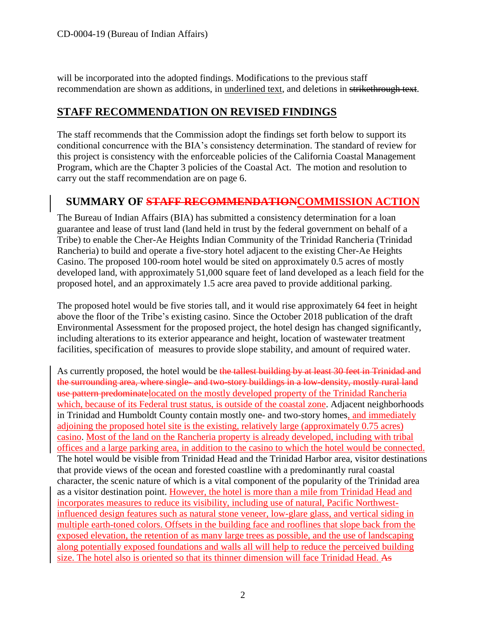will be incorporated into the adopted findings. Modifications to the previous staff recommendation are shown as additions, in underlined text, and deletions in strikethrough text.

# **STAFF RECOMMENDATION ON REVISED FINDINGS**

The staff recommends that the Commission adopt the findings set forth below to support its conditional concurrence with the BIA's consistency determination. The standard of review for this project is consistency with the enforceable policies of the California Coastal Management Program, which are the Chapter 3 policies of the Coastal Act. The motion and resolution to carry out the staff recommendation are on page 6.

# **SUMMARY OF STAFF RECOMMENDATIONCOMMISSION ACTION**

The Bureau of Indian Affairs (BIA) has submitted a consistency determination for a loan guarantee and lease of trust land (land held in trust by the federal government on behalf of a Tribe) to enable the Cher-Ae Heights Indian Community of the Trinidad Rancheria (Trinidad Rancheria) to build and operate a five-story hotel adjacent to the existing Cher-Ae Heights Casino. The proposed 100-room hotel would be sited on approximately 0.5 acres of mostly developed land, with approximately 51,000 square feet of land developed as a leach field for the proposed hotel, and an approximately 1.5 acre area paved to provide additional parking.

The proposed hotel would be five stories tall, and it would rise approximately 64 feet in height above the floor of the Tribe's existing casino. Since the October 2018 publication of the draft Environmental Assessment for the proposed project, the hotel design has changed significantly, including alterations to its exterior appearance and height, location of wastewater treatment facilities, specification of measures to provide slope stability, and amount of required water.

As currently proposed, the hotel would be the tallest building by at least 30 feet in Trinidad and the surrounding area, where single- and two-story buildings in a low-density, mostly rural land use pattern predominatelocated on the mostly developed property of the Trinidad Rancheria which, because of its Federal trust status, is outside of the coastal zone. Adjacent neighborhoods in Trinidad and Humboldt County contain mostly one- and two-story homes, and immediately adjoining the proposed hotel site is the existing, relatively large (approximately 0.75 acres) casino. Most of the land on the Rancheria property is already developed, including with tribal offices and a large parking area, in addition to the casino to which the hotel would be connected. The hotel would be visible from Trinidad Head and the Trinidad Harbor area, visitor destinations that provide views of the ocean and forested coastline with a predominantly rural coastal character, the scenic nature of which is a vital component of the popularity of the Trinidad area as a visitor destination point. However, the hotel is more than a mile from Trinidad Head and incorporates measures to reduce its visibility, including use of natural, Pacific Northwestinfluenced design features such as natural stone veneer, low-glare glass, and vertical siding in multiple earth-toned colors. Offsets in the building face and rooflines that slope back from the exposed elevation, the retention of as many large trees as possible, and the use of landscaping along potentially exposed foundations and walls all will help to reduce the perceived building size. The hotel also is oriented so that its thinner dimension will face Trinidad Head. As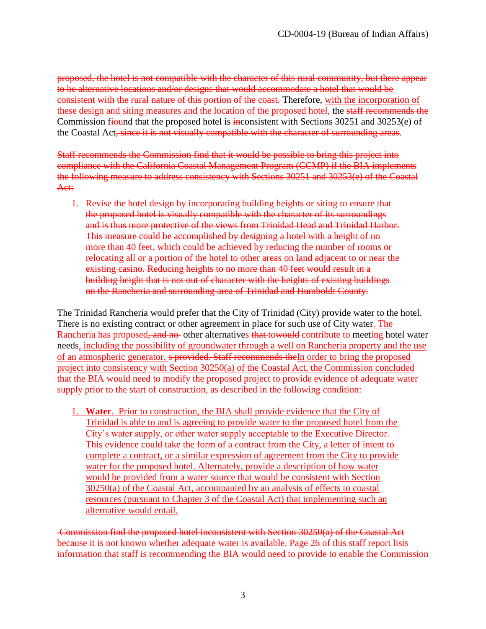proposed, the hotel is not compatible with the character of this rural community, but there appear to be alternative locations and/or designs that would accommodate a hotel that would be consistent with the rural nature of this portion of the coast. Therefore, with the incorporation of these design and siting measures and the location of the proposed hotel, the staff recommends the Commission fiound that the proposed hotel is inconsistent with Sections 30251 and 30253(e) of the Coastal Act, since it is not visually compatible with the character of surrounding areas.

Staff recommends the Commission find that it would be possible to bring this project into compliance with the California Coastal Management Program (CCMP) if the BIA implements the following measure to address consistency with Sections 30251 and 30253(e) of the Coastal Act:

1. Revise the hotel design by incorporating building heights or siting to ensure that the proposed hotel is visually compatible with the character of its surroundings and is thus more protective of the views from Trinidad Head and Trinidad Harbor. This measure could be accomplished by designing a hotel with a height of no more than 40 feet, which could be achieved by reducing the number of rooms or relocating all or a portion of the hotel to other areas on land adjacent to or near the existing casino. Reducing heights to no more than 40 feet would result in a building height that is not out of character with the heights of existing buildings on the Rancheria and surrounding area of Trinidad and Humboldt County.

The Trinidad Rancheria would prefer that the City of Trinidad (City) provide water to the hotel. There is no existing contract or other agreement in place for such use of City water. The Rancheria has proposed, and no other alternatives that towould contribute to meeting hotel water needs, including the possibility of groundwater through a well on Rancheria property and the use of an atmospheric generator. s provided. Staff recommends the In order to bring the proposed project into consistency with Section 30250(a) of the Coastal Act, the Commission concluded that the BIA would need to modify the proposed project to provide evidence of adequate water supply prior to the start of construction, as described in the following condition:

1. **Water**. Prior to construction, the BIA shall provide evidence that the City of Trinidad is able to and is agreeing to provide water to the proposed hotel from the City's water supply, or other water supply acceptable to the Executive Director. This evidence could take the form of a contract from the City, a letter of intent to complete a contract, or a similar expression of agreement from the City to provide water for the proposed hotel. Alternately, provide a description of how water would be provided from a water source that would be consistent with Section 30250(a) of the Coastal Act, accompanied by an analysis of effects to coastal resources (pursuant to Chapter 3 of the Coastal Act) that implementing such an alternative would entail.

Commission find the proposed hotel inconsistent with Section 30250(a) of the Coastal Act because it is not known whether adequate water is available. Page 26 of this staff report lists information that staff is recommending the BIA would need to provide to enable the Commission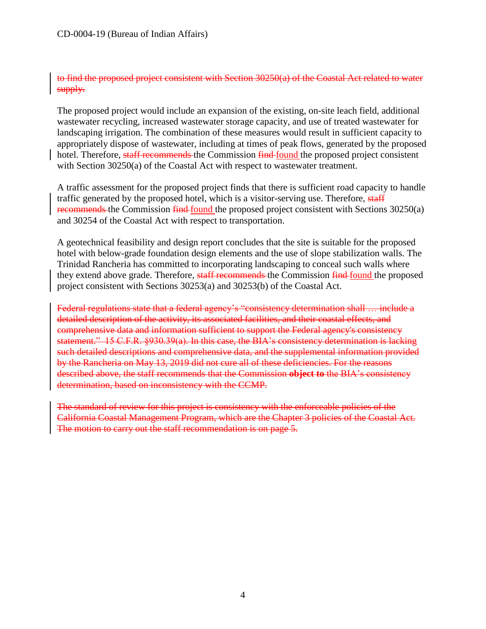to find the proposed project consistent with Section 30250(a) of the Coastal Act related to water supply.

The proposed project would include an expansion of the existing, on-site leach field, additional wastewater recycling, increased wastewater storage capacity, and use of treated wastewater for landscaping irrigation. The combination of these measures would result in sufficient capacity to appropriately dispose of wastewater, including at times of peak flows, generated by the proposed hotel. Therefore, staff recommends the Commission find found the proposed project consistent with Section 30250(a) of the Coastal Act with respect to wastewater treatment.

A traffic assessment for the proposed project finds that there is sufficient road capacity to handle traffic generated by the proposed hotel, which is a visitor-serving use. Therefore, staff recommends the Commission find-found the proposed project consistent with Sections 30250(a) and 30254 of the Coastal Act with respect to transportation.

A geotechnical feasibility and design report concludes that the site is suitable for the proposed hotel with below-grade foundation design elements and the use of slope stabilization walls. The Trinidad Rancheria has committed to incorporating landscaping to conceal such walls where they extend above grade. Therefore, staff recommends the Commission find found the proposed project consistent with Sections 30253(a) and 30253(b) of the Coastal Act.

Federal regulations state that a federal agency's "consistency determination shall … include a detailed description of the activity, its associated facilities, and their coastal effects, and comprehensive data and information sufficient to support the Federal agency's consistency statement." 15 C.F.R. §930.39(a). In this case, the BIA's consistency determination is lacking such detailed descriptions and comprehensive data, and the supplemental information provided by the Rancheria on May 13, 2019 did not cure all of these deficiencies. For the reasons described above, the staff recommends that the Commission **object to** the BIA's consistency determination, based on inconsistency with the CCMP.

The standard of review for this project is consistency with the enforceable policies of the California Coastal Management Program, which are the Chapter 3 policies of the Coastal Act. The motion to carry out the staff recommendation is on page 5.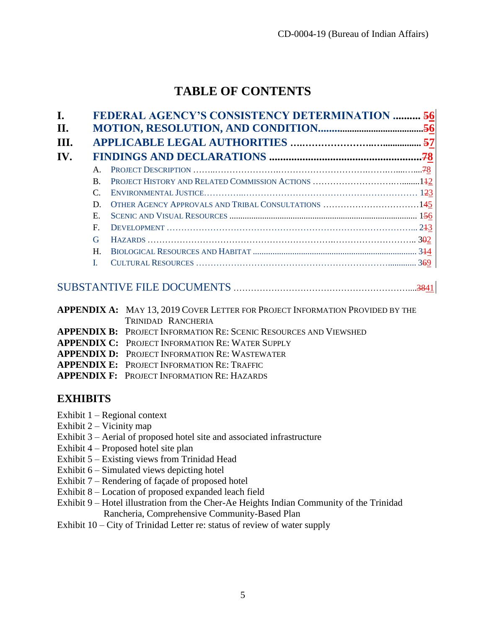# **TABLE OF CONTENTS**

| <sub>R</sub> |                                                     |
|--------------|-----------------------------------------------------|
|              |                                                     |
| D            | OTHER AGENCY APPROVALS AND TRIBAL CONSULTATIONS 145 |
| $E_{\rm c}$  |                                                     |
| $\mathbf{F}$ |                                                     |
| G            |                                                     |
| H            |                                                     |
|              |                                                     |

# [SUBSTANTIVE FILE DOCUMENTS](#page-40-0) ……………………………………………………....3841

| <b>APPENDIX A:</b> MAY 13, 2019 COVER LETTER FOR PROJECT INFORMATION PROVIDED BY THE |
|--------------------------------------------------------------------------------------|
| TRINIDAD RANCHERIA                                                                   |
| <b>APPENDIX B:</b> PROJECT INFORMATION RE: SCENIC RESOURCES AND VIEWSHED             |
| <b>APPENDIX C: PROJECT INFORMATION RE: WATER SUPPLY</b>                              |
| <b>APPENDIX D: PROJECT INFORMATION RE: WASTEWATER</b>                                |
| <b>APPENDIX E: PROJECT INFORMATION RE: TRAFFIC</b>                                   |
| <b>APPENDIX F: PROJECT INFORMATION RE: HAZARDS</b>                                   |
|                                                                                      |

# **EXHIBITS**

- Exhibit  $1 -$  Regional context
- Exhibit  $2 -$  Vicinity map
- Exhibit 3 Aerial of proposed hotel site and associated infrastructure
- Exhibit 4 Proposed hotel site plan
- Exhibit 5 Existing views from Trinidad Head
- Exhibit 6 Simulated views depicting hotel
- Exhibit 7 Rendering of façade of proposed hotel
- Exhibit 8 Location of proposed expanded leach field
- Exhibit 9 Hotel illustration from the Cher-Ae Heights Indian Community of the Trinidad Rancheria, Comprehensive Community-Based Plan
- Exhibit 10 City of Trinidad Letter re: status of review of water supply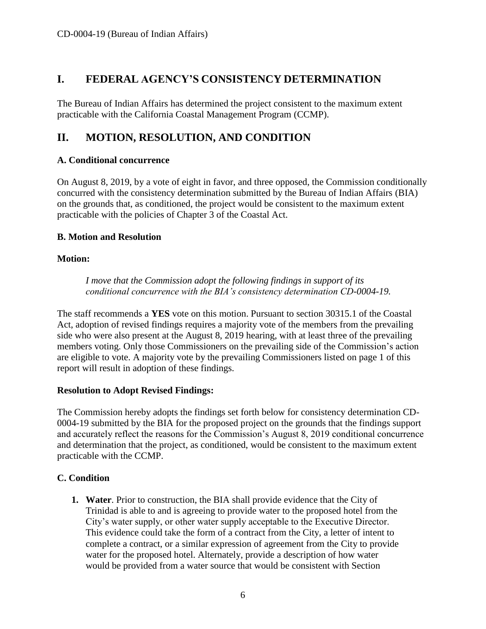# <span id="page-5-0"></span>**I. FEDERAL AGENCY'S CONSISTENCY DETERMINATION**

The Bureau of Indian Affairs has determined the project consistent to the maximum extent practicable with the California Coastal Management Program (CCMP).

# <span id="page-5-1"></span>**II. MOTION, RESOLUTION, AND CONDITION**

#### **A. Conditional concurrence**

On August 8, 2019, by a vote of eight in favor, and three opposed, the Commission conditionally concurred with the consistency determination submitted by the Bureau of Indian Affairs (BIA) on the grounds that, as conditioned, the project would be consistent to the maximum extent practicable with the policies of Chapter 3 of the Coastal Act.

#### **B. Motion and Resolution**

#### **Motion:**

*I move that the Commission adopt the following findings in support of its conditional concurrence with the BIA's consistency determination CD-0004-19.* 

The staff recommends a **YES** vote on this motion. Pursuant to section 30315.1 of the Coastal Act, adoption of revised findings requires a majority vote of the members from the prevailing side who were also present at the August 8, 2019 hearing, with at least three of the prevailing members voting. Only those Commissioners on the prevailing side of the Commission's action are eligible to vote. A majority vote by the prevailing Commissioners listed on page 1 of this report will result in adoption of these findings.

## **Resolution to Adopt Revised Findings:**

The Commission hereby adopts the findings set forth below for consistency determination CD-0004-19 submitted by the BIA for the proposed project on the grounds that the findings support and accurately reflect the reasons for the Commission's August 8, 2019 conditional concurrence and determination that the project, as conditioned, would be consistent to the maximum extent practicable with the CCMP.

## **C. Condition**

**1. Water**. Prior to construction, the BIA shall provide evidence that the City of Trinidad is able to and is agreeing to provide water to the proposed hotel from the City's water supply, or other water supply acceptable to the Executive Director. This evidence could take the form of a contract from the City, a letter of intent to complete a contract, or a similar expression of agreement from the City to provide water for the proposed hotel. Alternately, provide a description of how water would be provided from a water source that would be consistent with Section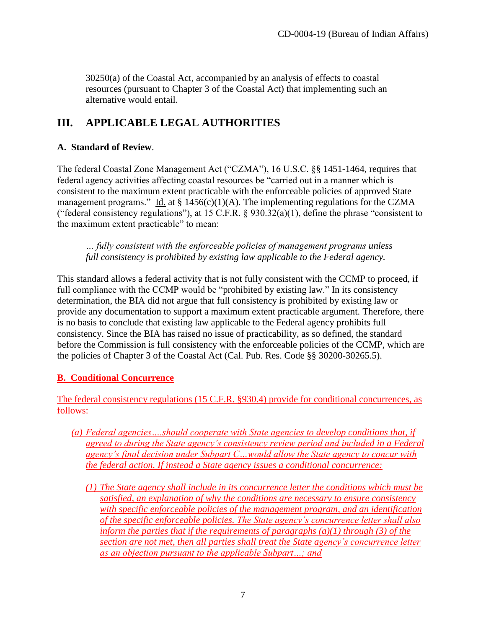30250(a) of the Coastal Act, accompanied by an analysis of effects to coastal resources (pursuant to Chapter 3 of the Coastal Act) that implementing such an alternative would entail.

# <span id="page-6-0"></span>**III. APPLICABLE LEGAL AUTHORITIES**

#### **A. Standard of Review**.

The federal Coastal Zone Management Act ("CZMA"), 16 U.S.C. §§ 1451-1464, requires that federal agency activities affecting coastal resources be "carried out in a manner which is consistent to the maximum extent practicable with the enforceable policies of approved State management programs." Id. at  $\S$  1456(c)(1)(A). The implementing regulations for the CZMA ("federal consistency regulations"), at 15 C.F.R.  $\S$  930.32(a)(1), define the phrase "consistent to the maximum extent practicable" to mean:

*… fully consistent with the enforceable policies of management programs unless full consistency is prohibited by existing law applicable to the Federal agency.*

This standard allows a federal activity that is not fully consistent with the CCMP to proceed, if full compliance with the CCMP would be "prohibited by existing law." In its consistency determination, the BIA did not argue that full consistency is prohibited by existing law or provide any documentation to support a maximum extent practicable argument. Therefore, there is no basis to conclude that existing law applicable to the Federal agency prohibits full consistency. Since the BIA has raised no issue of practicability, as so defined, the standard before the Commission is full consistency with the enforceable policies of the CCMP, which are the policies of Chapter 3 of the Coastal Act (Cal. Pub. Res. Code §§ 30200-30265.5).

## **B. Conditional Concurrence**

The federal consistency regulations (15 C.F.R. §930.4) provide for conditional concurrences, as follows:

- *(a) Federal agencies….should cooperate with State agencies to develop conditions that, if agreed to during the State agency's consistency review period and included in a Federal agency's final decision under Subpart C…would allow the State agency to concur with the federal action. If instead a State agency issues a conditional concurrence:* 
	- *(1) The State agency shall include in its concurrence letter the conditions which must be satisfied, an explanation of why the conditions are necessary to ensure consistency with specific enforceable policies of the management program, and an identification of the specific enforceable policies. The State agency's concurrence letter shall also inform the parties that if the requirements of paragraphs (a)(1) through (3) of the section are not met, then all parties shall treat the State agency's concurrence letter as an objection pursuant to the applicable Subpart…; and*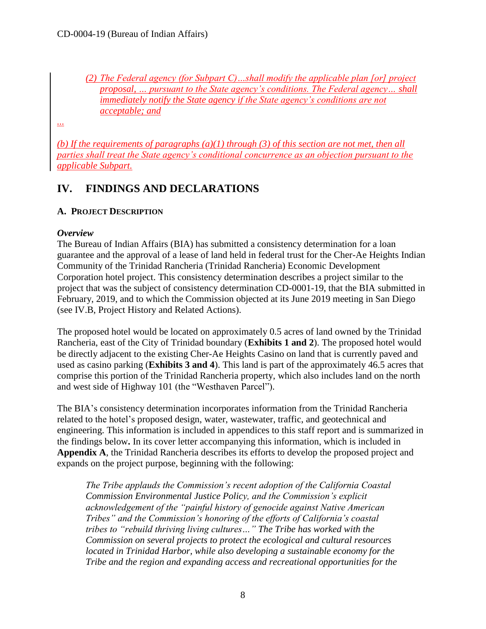*(2) The Federal agency (for Subpart C)…shall modify the applicable plan [or] project proposal, … pursuant to the State agency's conditions. The Federal agency… shall immediately notify the State agency if the State agency's conditions are not acceptable; and*

*...*

*(b) If the requirements of paragraphs (a)(1) through (3) of this section are not met, then all parties shall treat the State agency's conditional concurrence as an objection pursuant to the applicable Subpart.* 

# <span id="page-7-0"></span>**IV. FINDINGS AND DECLARATIONS**

#### <span id="page-7-1"></span>**A. PROJECT DESCRIPTION**

#### *Overview*

The Bureau of Indian Affairs (BIA) has submitted a consistency determination for a loan guarantee and the approval of a lease of land held in federal trust for the Cher-Ae Heights Indian Community of the Trinidad Rancheria (Trinidad Rancheria) Economic Development Corporation hotel project. This consistency determination describes a project similar to the project that was the subject of consistency determination CD-0001-19, that the BIA submitted in February, 2019, and to which the Commission objected at its June 2019 meeting in San Diego (see IV.B, Project History and Related Actions).

The proposed hotel would be located on approximately 0.5 acres of land owned by the Trinidad Rancheria, east of the City of Trinidad boundary (**Exhibits 1 and 2**). The proposed hotel would be directly adjacent to the existing Cher-Ae Heights Casino on land that is currently paved and used as casino parking (**Exhibits 3 and 4**). This land is part of the approximately 46.5 acres that comprise this portion of the Trinidad Rancheria property, which also includes land on the north and west side of Highway 101 (the "Westhaven Parcel").

The BIA's consistency determination incorporates information from the Trinidad Rancheria related to the hotel's proposed design, water, wastewater, traffic, and geotechnical and engineering. This information is included in appendices to this staff report and is summarized in the findings below**.** In its cover letter accompanying this information, which is included in **Appendix A**, the Trinidad Rancheria describes its efforts to develop the proposed project and expands on the project purpose, beginning with the following:

*The Tribe applauds the Commission's recent adoption of the California Coastal Commission Environmental Justice Policy, and the Commission's explicit acknowledgement of the "painful history of genocide against Native American Tribes" and the Commission's honoring of the efforts of California's coastal tribes to "rebuild thriving living cultures…" The Tribe has worked with the Commission on several projects to protect the ecological and cultural resources located in Trinidad Harbor, while also developing a sustainable economy for the Tribe and the region and expanding access and recreational opportunities for the*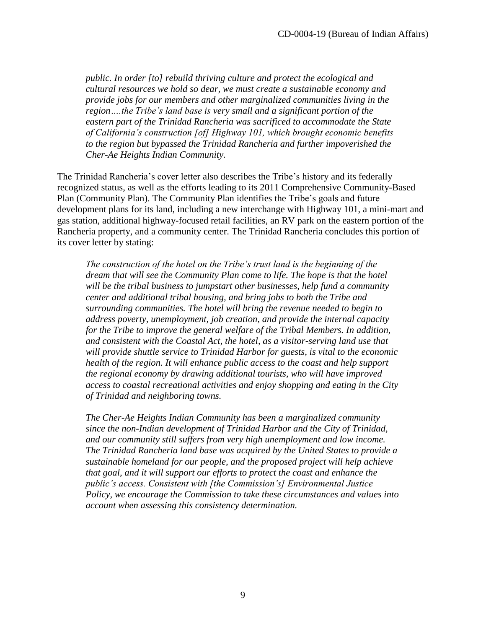*public. In order [to] rebuild thriving culture and protect the ecological and cultural resources we hold so dear, we must create a sustainable economy and provide jobs for our members and other marginalized communities living in the region….the Tribe's land base is very small and a significant portion of the eastern part of the Trinidad Rancheria was sacrificed to accommodate the State of California's construction [of] Highway 101, which brought economic benefits to the region but bypassed the Trinidad Rancheria and further impoverished the Cher-Ae Heights Indian Community.* 

The Trinidad Rancheria's cover letter also describes the Tribe's history and its federally recognized status, as well as the efforts leading to its 2011 Comprehensive Community-Based Plan (Community Plan). The Community Plan identifies the Tribe's goals and future development plans for its land, including a new interchange with Highway 101, a mini-mart and gas station, additional highway-focused retail facilities, an RV park on the eastern portion of the Rancheria property, and a community center. The Trinidad Rancheria concludes this portion of its cover letter by stating:

*The construction of the hotel on the Tribe's trust land is the beginning of the dream that will see the Community Plan come to life. The hope is that the hotel will be the tribal business to jumpstart other businesses, help fund a community center and additional tribal housing, and bring jobs to both the Tribe and surrounding communities. The hotel will bring the revenue needed to begin to address poverty, unemployment, job creation, and provide the internal capacity for the Tribe to improve the general welfare of the Tribal Members. In addition, and consistent with the Coastal Act, the hotel, as a visitor-serving land use that will provide shuttle service to Trinidad Harbor for guests, is vital to the economic health of the region. It will enhance public access to the coast and help support the regional economy by drawing additional tourists, who will have improved access to coastal recreational activities and enjoy shopping and eating in the City of Trinidad and neighboring towns.* 

*The Cher-Ae Heights Indian Community has been a marginalized community since the non-Indian development of Trinidad Harbor and the City of Trinidad, and our community still suffers from very high unemployment and low income. The Trinidad Rancheria land base was acquired by the United States to provide a sustainable homeland for our people, and the proposed project will help achieve that goal, and it will support our efforts to protect the coast and enhance the public's access. Consistent with [the Commission's] Environmental Justice Policy, we encourage the Commission to take these circumstances and values into account when assessing this consistency determination.*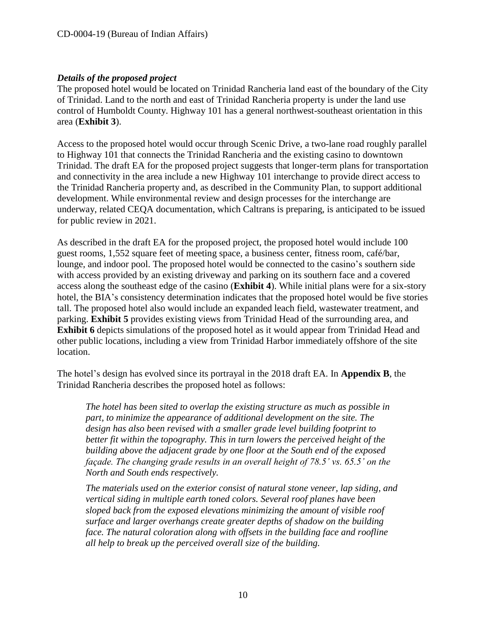#### *Details of the proposed project*

The proposed hotel would be located on Trinidad Rancheria land east of the boundary of the City of Trinidad. Land to the north and east of Trinidad Rancheria property is under the land use control of Humboldt County. Highway 101 has a general northwest-southeast orientation in this area (**Exhibit 3**).

Access to the proposed hotel would occur through Scenic Drive, a two-lane road roughly parallel to Highway 101 that connects the Trinidad Rancheria and the existing casino to downtown Trinidad. The draft EA for the proposed project suggests that longer-term plans for transportation and connectivity in the area include a new Highway 101 interchange to provide direct access to the Trinidad Rancheria property and, as described in the Community Plan, to support additional development. While environmental review and design processes for the interchange are underway, related CEQA documentation, which Caltrans is preparing, is anticipated to be issued for public review in 2021.

As described in the draft EA for the proposed project, the proposed hotel would include 100 guest rooms, 1,552 square feet of meeting space, a business center, fitness room, café/bar, lounge, and indoor pool. The proposed hotel would be connected to the casino's southern side with access provided by an existing driveway and parking on its southern face and a covered access along the southeast edge of the casino (**Exhibit 4**). While initial plans were for a six-story hotel, the BIA's consistency determination indicates that the proposed hotel would be five stories tall. The proposed hotel also would include an expanded leach field, wastewater treatment, and parking. **Exhibit 5** provides existing views from Trinidad Head of the surrounding area, and **Exhibit 6** depicts simulations of the proposed hotel as it would appear from Trinidad Head and other public locations, including a view from Trinidad Harbor immediately offshore of the site location.

The hotel's design has evolved since its portrayal in the 2018 draft EA. In **Appendix B**, the Trinidad Rancheria describes the proposed hotel as follows:

*The hotel has been sited to overlap the existing structure as much as possible in part, to minimize the appearance of additional development on the site. The design has also been revised with a smaller grade level building footprint to better fit within the topography. This in turn lowers the perceived height of the building above the adjacent grade by one floor at the South end of the exposed façade. The changing grade results in an overall height of 78.5' vs. 65.5' on the North and South ends respectively.* 

*The materials used on the exterior consist of natural stone veneer, lap siding, and vertical siding in multiple earth toned colors. Several roof planes have been sloped back from the exposed elevations minimizing the amount of visible roof surface and larger overhangs create greater depths of shadow on the building face. The natural coloration along with offsets in the building face and roofline all help to break up the perceived overall size of the building.*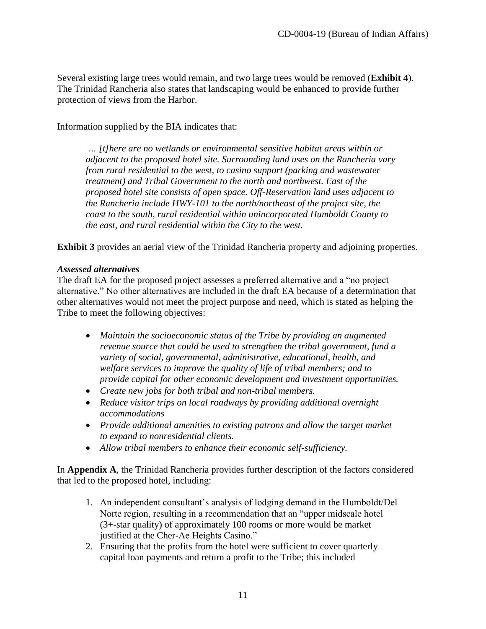Several existing large trees would remain, and two large trees would be removed (**Exhibit 4**). The Trinidad Rancheria also states that landscaping would be enhanced to provide further protection of views from the Harbor.

Information supplied by the BIA indicates that:

*… [t]here are no wetlands or environmental sensitive habitat areas within or adjacent to the proposed hotel site. Surrounding land uses on the Rancheria vary from rural residential to the west, to casino support (parking and wastewater treatment) and Tribal Government to the north and northwest. East of the proposed hotel site consists of open space. Off-Reservation land uses adjacent to the Rancheria include HWY-101 to the north/northeast of the project site, the coast to the south, rural residential within unincorporated Humboldt County to the east, and rural residential within the City to the west.* 

**Exhibit 3** provides an aerial view of the Trinidad Rancheria property and adjoining properties.

#### *Assessed alternatives*

The draft EA for the proposed project assesses a preferred alternative and a "no project alternative." No other alternatives are included in the draft EA because of a determination that other alternatives would not meet the project purpose and need, which is stated as helping the Tribe to meet the following objectives:

- *Maintain the socioeconomic status of the Tribe by providing an augmented revenue source that could be used to strengthen the tribal government, fund a variety of social, governmental, administrative, educational, health, and welfare services to improve the quality of life of tribal members; and to provide capital for other economic development and investment opportunities.*
- *Create new jobs for both tribal and non-tribal members.*
- *Reduce visitor trips on local roadways by providing additional overnight accommodations*
- *Provide additional amenities to existing patrons and allow the target market to expand to nonresidential clients.*
- *Allow tribal members to enhance their economic self-sufficiency.*

In **Appendix A**, the Trinidad Rancheria provides further description of the factors considered that led to the proposed hotel, including:

- 1. An independent consultant's analysis of lodging demand in the Humboldt/Del Norte region, resulting in a recommendation that an "upper midscale hotel (3+-star quality) of approximately 100 rooms or more would be market justified at the Cher-Ae Heights Casino."
- 2. Ensuring that the profits from the hotel were sufficient to cover quarterly capital loan payments and return a profit to the Tribe; this included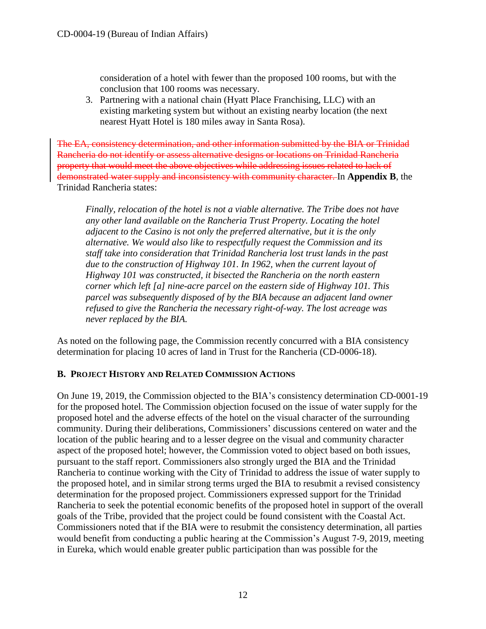consideration of a hotel with fewer than the proposed 100 rooms, but with the conclusion that 100 rooms was necessary.

3. Partnering with a national chain (Hyatt Place Franchising, LLC) with an existing marketing system but without an existing nearby location (the next nearest Hyatt Hotel is 180 miles away in Santa Rosa).

The EA, consistency determination, and other information submitted by the BIA or Trinidad Rancheria do not identify or assess alternative designs or locations on Trinidad Rancheria property that would meet the above objectives while addressing issues related to lack of demonstrated water supply and inconsistency with community character. In **Appendix B**, the Trinidad Rancheria states:

*Finally, relocation of the hotel is not a viable alternative. The Tribe does not have any other land available on the Rancheria Trust Property. Locating the hotel adjacent to the Casino is not only the preferred alternative, but it is the only alternative. We would also like to respectfully request the Commission and its staff take into consideration that Trinidad Rancheria lost trust lands in the past due to the construction of Highway 101. In 1962, when the current layout of Highway 101 was constructed, it bisected the Rancheria on the north eastern corner which left [a] nine-acre parcel on the eastern side of Highway 101. This parcel was subsequently disposed of by the BIA because an adjacent land owner refused to give the Rancheria the necessary right-of-way. The lost acreage was never replaced by the BIA.*

As noted on the following page, the Commission recently concurred with a BIA consistency determination for placing 10 acres of land in Trust for the Rancheria (CD-0006-18).

#### <span id="page-11-0"></span>**B. PROJECT HISTORY AND RELATED COMMISSION ACTIONS**

On June 19, 2019, the Commission objected to the BIA's consistency determination CD-0001-19 for the proposed hotel. The Commission objection focused on the issue of water supply for the proposed hotel and the adverse effects of the hotel on the visual character of the surrounding community. During their deliberations, Commissioners' discussions centered on water and the location of the public hearing and to a lesser degree on the visual and community character aspect of the proposed hotel; however, the Commission voted to object based on both issues, pursuant to the staff report. Commissioners also strongly urged the BIA and the Trinidad Rancheria to continue working with the City of Trinidad to address the issue of water supply to the proposed hotel, and in similar strong terms urged the BIA to resubmit a revised consistency determination for the proposed project. Commissioners expressed support for the Trinidad Rancheria to seek the potential economic benefits of the proposed hotel in support of the overall goals of the Tribe, provided that the project could be found consistent with the Coastal Act. Commissioners noted that if the BIA were to resubmit the consistency determination, all parties would benefit from conducting a public hearing at the Commission's August 7-9, 2019, meeting in Eureka, which would enable greater public participation than was possible for the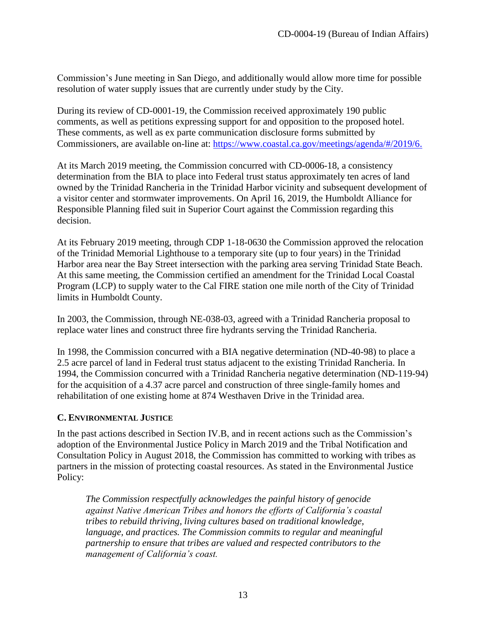Commission's June meeting in San Diego, and additionally would allow more time for possible resolution of water supply issues that are currently under study by the City.

During its review of CD-0001-19, the Commission received approximately 190 public comments, as well as petitions expressing support for and opposition to the proposed hotel. These comments, as well as ex parte communication disclosure forms submitted by Commissioners, are available on-line at: [https://www.coastal.ca.gov/meetings/agenda/#/2019/6.](https://www.coastal.ca.gov/meetings/agenda/#/2019/6)

At its March 2019 meeting, the Commission concurred with CD-0006-18, a consistency determination from the BIA to place into Federal trust status approximately ten acres of land owned by the Trinidad Rancheria in the Trinidad Harbor vicinity and subsequent development of a visitor center and stormwater improvements. On April 16, 2019, the Humboldt Alliance for Responsible Planning filed suit in Superior Court against the Commission regarding this decision.

At its February 2019 meeting, through CDP 1-18-0630 the Commission approved the relocation of the Trinidad Memorial Lighthouse to a temporary site (up to four years) in the Trinidad Harbor area near the Bay Street intersection with the parking area serving Trinidad State Beach. At this same meeting, the Commission certified an amendment for the Trinidad Local Coastal Program (LCP) to supply water to the Cal FIRE station one mile north of the City of Trinidad limits in Humboldt County.

In 2003, the Commission, through NE-038-03, agreed with a Trinidad Rancheria proposal to replace water lines and construct three fire hydrants serving the Trinidad Rancheria.

In 1998, the Commission concurred with a BIA negative determination (ND-40-98) to place a 2.5 acre parcel of land in Federal trust status adjacent to the existing Trinidad Rancheria. In 1994, the Commission concurred with a Trinidad Rancheria negative determination (ND-119-94) for the acquisition of a 4.37 acre parcel and construction of three single-family homes and rehabilitation of one existing home at 874 Westhaven Drive in the Trinidad area.

#### <span id="page-12-0"></span>**C. ENVIRONMENTAL JUSTICE**

In the past actions described in Section IV.B, and in recent actions such as the Commission's adoption of the Environmental Justice Policy in March 2019 and the Tribal Notification and Consultation Policy in August 2018, the Commission has committed to working with tribes as partners in the mission of protecting coastal resources. As stated in the Environmental Justice Policy:

*The Commission respectfully acknowledges the painful history of genocide against Native American Tribes and honors the efforts of California's coastal tribes to rebuild thriving, living cultures based on traditional knowledge, language, and practices. The Commission commits to regular and meaningful partnership to ensure that tribes are valued and respected contributors to the management of California's coast.*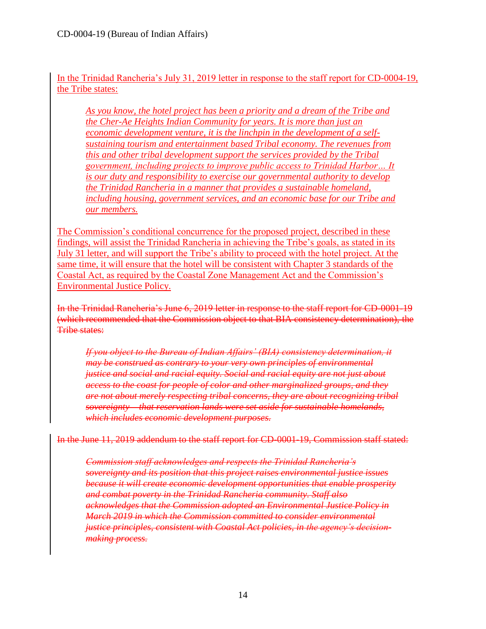In the Trinidad Rancheria's July 31, 2019 letter in response to the staff report for CD-0004-19, the Tribe states:

*As you know, the hotel project has been a priority and a dream of the Tribe and the Cher-Ae Heights Indian Community for years. It is more than just an economic development venture, it is the linchpin in the development of a selfsustaining tourism and entertainment based Tribal economy. The revenues from this and other tribal development support the services provided by the Tribal government, including projects to improve public access to Trinidad Harbor… It is our duty and responsibility to exercise our governmental authority to develop the Trinidad Rancheria in a manner that provides a sustainable homeland, including housing, government services, and an economic base for our Tribe and our members.* 

The Commission's conditional concurrence for the proposed project, described in these findings, will assist the Trinidad Rancheria in achieving the Tribe's goals, as stated in its July 31 letter, and will support the Tribe's ability to proceed with the hotel project. At the same time, it will ensure that the hotel will be consistent with Chapter 3 standards of the Coastal Act, as required by the Coastal Zone Management Act and the Commission's Environmental Justice Policy.

In the Trinidad Rancheria's June 6, 2019 letter in response to the staff report for CD-0001-19 (which recommended that the Commission object to that BIA consistency determination), the Tribe states:

*If you object to the Bureau of Indian Affairs' (BIA) consistency determination, it may be construed as contrary to your very own principles of environmental justice and social and racial equity. Social and racial equity are not just about access to the coast for people of color and other marginalized groups, and they are not about merely respecting tribal concerns, they are about recognizing tribal sovereignty – that reservation lands were set aside for sustainable homelands, which includes economic development purposes.*

In the June 11, 2019 addendum to the staff report for CD-0001-19, Commission staff stated:

*Commission staff acknowledges and respects the Trinidad Rancheria's sovereignty and its position that this project raises environmental justice issues because it will create economic development opportunities that enable prosperity and combat poverty in the Trinidad Rancheria community. Staff also acknowledges that the Commission adopted an Environmental Justice Policy in March 2019 in which the Commission committed to consider environmental justice principles, consistent with Coastal Act policies, in the agency's decisionmaking process.*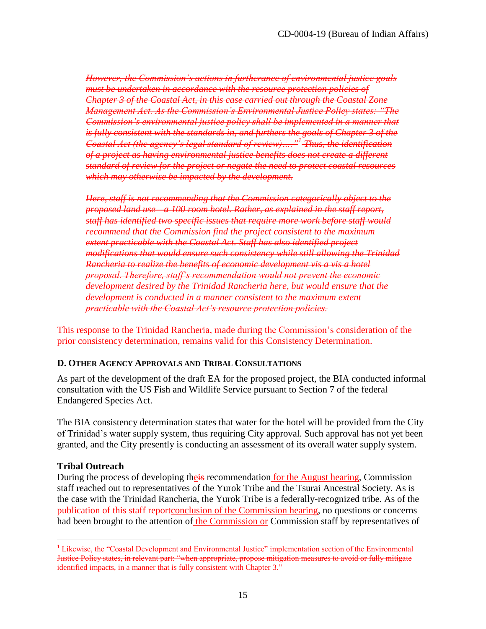*However, the Commission's actions in furtherance of environmental justice goals must be undertaken in accordance with the resource protection policies of Chapter 3 of the Coastal Act, in this case carried out through the Coastal Zone Management Act. As the Commission's Environmental Justice Policy states: "The Commission's environmental justice policy shall be implemented in a manner that is fully consistent with the standards in, and furthers the goals of Chapter 3 of the Coastal Act (the agency's legal standard of review)…."<sup>1</sup> Thus, the identification of a project as having environmental justice benefits does not create a different standard of review for the project or negate the need to protect coastal resources which may otherwise be impacted by the development.*

*Here, staff is not recommending that the Commission categorically object to the proposed land use—a 100 room hotel. Rather, as explained in the staff report, staff has identified two specific issues that require more work before staff would recommend that the Commission find the project consistent to the maximum extent practicable with the Coastal Act. Staff has also identified project modifications that would ensure such consistency while still allowing the Trinidad Rancheria to realize the benefits of economic development vis a vis a hotel proposal. Therefore, staff's recommendation would not prevent the economic development desired by the Trinidad Rancheria here, but would ensure that the development is conducted in a manner consistent to the maximum extent practicable with the Coastal Act's resource protection policies.*

This response to the Trinidad Rancheria, made during the Commission's consideration of the prior consistency determination, remains valid for this Consistency Determination.

#### <span id="page-14-0"></span>**D. OTHER AGENCY APPROVALS AND TRIBAL CONSULTATIONS**

As part of the development of the draft EA for the proposed project, the BIA conducted informal consultation with the US Fish and Wildlife Service pursuant to Section 7 of the federal Endangered Species Act.

The BIA consistency determination states that water for the hotel will be provided from the City of Trinidad's water supply system, thus requiring City approval. Such approval has not yet been granted, and the City presently is conducting an assessment of its overall water supply system.

#### **Tribal Outreach**

 $\overline{a}$ 

During the process of developing their recommendation for the August hearing, Commission staff reached out to representatives of the Yurok Tribe and the Tsurai Ancestral Society. As is the case with the Trinidad Rancheria, the Yurok Tribe is a federally-recognized tribe. As of the publication of this staff reportconclusion of the Commission hearing, no questions or concerns had been brought to the attention of the Commission or Commission staff by representatives of

<sup>&</sup>lt;sup>1</sup> Likewise, the "Coastal Development and Environmental Justice" implementation section of the Environmental Justice Policy states, in relevant part: "when appropriate, propose mitigation measures to avoid or fully mitigate identified impacts, in a manner that is fully consistent with Chapter 3."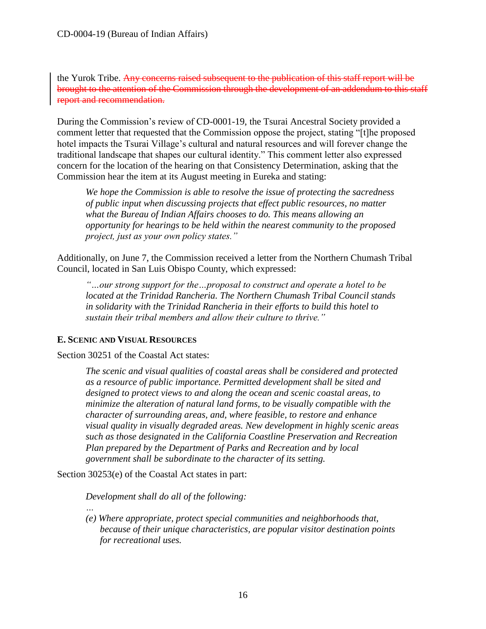the Yurok Tribe. Any concerns raised subsequent to the publication of this staff report will be brought to the attention of the Commission through the development of an addendum to this staff report and recommendation.

During the Commission's review of CD-0001-19, the Tsurai Ancestral Society provided a comment letter that requested that the Commission oppose the project, stating "[t]he proposed hotel impacts the Tsurai Village's cultural and natural resources and will forever change the traditional landscape that shapes our cultural identity." This comment letter also expressed concern for the location of the hearing on that Consistency Determination, asking that the Commission hear the item at its August meeting in Eureka and stating:

*We hope the Commission is able to resolve the issue of protecting the sacredness of public input when discussing projects that effect public resources, no matter what the Bureau of Indian Affairs chooses to do. This means allowing an opportunity for hearings to be held within the nearest community to the proposed project, just as your own policy states."* 

Additionally, on June 7, the Commission received a letter from the Northern Chumash Tribal Council, located in San Luis Obispo County, which expressed:

*"…our strong support for the…proposal to construct and operate a hotel to be located at the Trinidad Rancheria. The Northern Chumash Tribal Council stands in solidarity with the Trinidad Rancheria in their efforts to build this hotel to sustain their tribal members and allow their culture to thrive."* 

#### <span id="page-15-0"></span>**E. SCENIC AND VISUAL RESOURCES**

Section 30251 of the Coastal Act states:

*The scenic and visual qualities of coastal areas shall be considered and protected as a resource of public importance. Permitted development shall be sited and designed to protect views to and along the ocean and scenic coastal areas, to minimize the alteration of natural land forms, to be visually compatible with the character of surrounding areas, and, where feasible, to restore and enhance visual quality in visually degraded areas. New development in highly scenic areas such as those designated in the California Coastline Preservation and Recreation Plan prepared by the Department of Parks and Recreation and by local government shall be subordinate to the character of its setting.* 

Section 30253(e) of the Coastal Act states in part:

*…*

*Development shall do all of the following:*

*(e) Where appropriate, protect special communities and neighborhoods that, because of their unique characteristics, are popular visitor destination points for recreational uses.*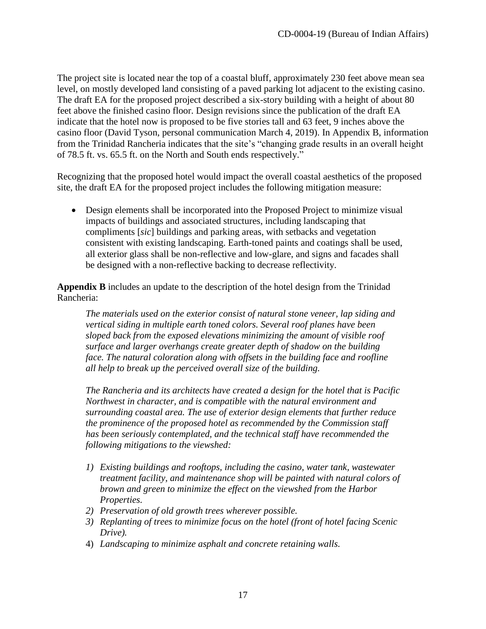The project site is located near the top of a coastal bluff, approximately 230 feet above mean sea level, on mostly developed land consisting of a paved parking lot adjacent to the existing casino. The draft EA for the proposed project described a six-story building with a height of about 80 feet above the finished casino floor. Design revisions since the publication of the draft EA indicate that the hotel now is proposed to be five stories tall and 63 feet, 9 inches above the casino floor (David Tyson, personal communication March 4, 2019). In Appendix B, information from the Trinidad Rancheria indicates that the site's "changing grade results in an overall height of 78.5 ft. vs. 65.5 ft. on the North and South ends respectively."

Recognizing that the proposed hotel would impact the overall coastal aesthetics of the proposed site, the draft EA for the proposed project includes the following mitigation measure:

 Design elements shall be incorporated into the Proposed Project to minimize visual impacts of buildings and associated structures, including landscaping that compliments [*sic*] buildings and parking areas, with setbacks and vegetation consistent with existing landscaping. Earth-toned paints and coatings shall be used, all exterior glass shall be non-reflective and low-glare, and signs and facades shall be designed with a non-reflective backing to decrease reflectivity.

**Appendix B** includes an update to the description of the hotel design from the Trinidad Rancheria:

*The materials used on the exterior consist of natural stone veneer, lap siding and vertical siding in multiple earth toned colors. Several roof planes have been sloped back from the exposed elevations minimizing the amount of visible roof surface and larger overhangs create greater depth of shadow on the building*  face. The natural coloration along with offsets in the building face and roofline *all help to break up the perceived overall size of the building.*

*The Rancheria and its architects have created a design for the hotel that is Pacific Northwest in character, and is compatible with the natural environment and surrounding coastal area. The use of exterior design elements that further reduce the prominence of the proposed hotel as recommended by the Commission staff has been seriously contemplated, and the technical staff have recommended the following mitigations to the viewshed:* 

- *1) Existing buildings and rooftops, including the casino, water tank, wastewater treatment facility, and maintenance shop will be painted with natural colors of brown and green to minimize the effect on the viewshed from the Harbor Properties.*
- *2) Preservation of old growth trees wherever possible.*
- *3) Replanting of trees to minimize focus on the hotel (front of hotel facing Scenic Drive).*
- 4) *Landscaping to minimize asphalt and concrete retaining walls.*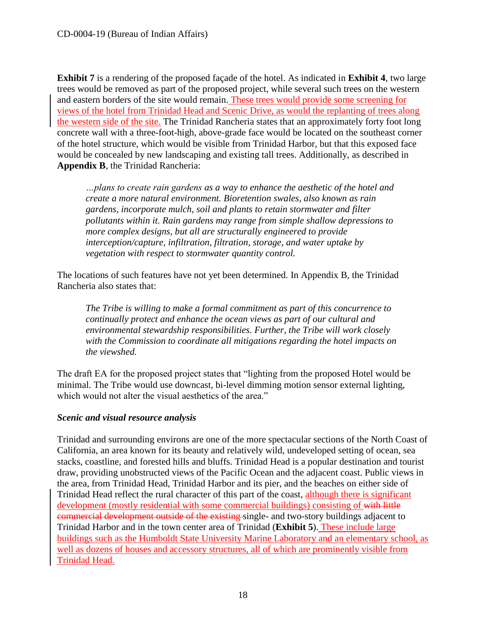**Exhibit 7** is a rendering of the proposed façade of the hotel. As indicated in **Exhibit 4**, two large trees would be removed as part of the proposed project, while several such trees on the western and eastern borders of the site would remain. These trees would provide some screening for views of the hotel from Trinidad Head and Scenic Drive, as would the replanting of trees along the western side of the site. The Trinidad Rancheria states that an approximately forty foot long concrete wall with a three-foot-high, above-grade face would be located on the southeast corner of the hotel structure, which would be visible from Trinidad Harbor, but that this exposed face would be concealed by new landscaping and existing tall trees. Additionally, as described in **Appendix B**, the Trinidad Rancheria:

*…plans to create rain gardens as a way to enhance the aesthetic of the hotel and create a more natural environment. Bioretention swales, also known as rain gardens, incorporate mulch, soil and plants to retain stormwater and filter pollutants within it. Rain gardens may range from simple shallow depressions to more complex designs, but all are structurally engineered to provide interception/capture, infiltration, filtration, storage, and water uptake by vegetation with respect to stormwater quantity control.* 

The locations of such features have not yet been determined. In Appendix B, the Trinidad Rancheria also states that:

*The Tribe is willing to make a formal commitment as part of this concurrence to continually protect and enhance the ocean views as part of our cultural and environmental stewardship responsibilities. Further, the Tribe will work closely with the Commission to coordinate all mitigations regarding the hotel impacts on the viewshed.* 

The draft EA for the proposed project states that "lighting from the proposed Hotel would be minimal. The Tribe would use downcast, bi-level dimming motion sensor external lighting, which would not alter the visual aesthetics of the area."

## *Scenic and visual resource analysis*

Trinidad and surrounding environs are one of the more spectacular sections of the North Coast of California, an area known for its beauty and relatively wild, undeveloped setting of ocean, sea stacks, coastline, and forested hills and bluffs. Trinidad Head is a popular destination and tourist draw, providing unobstructed views of the Pacific Ocean and the adjacent coast. Public views in the area, from Trinidad Head, Trinidad Harbor and its pier, and the beaches on either side of Trinidad Head reflect the rural character of this part of the coast, although there is significant development (mostly residential with some commercial buildings) consisting of with little commercial development outside of the existing single- and two-story buildings adjacent to Trinidad Harbor and in the town center area of Trinidad (**Exhibit 5**). These include large buildings such as the Humboldt State University Marine Laboratory and an elementary school, as well as dozens of houses and accessory structures, all of which are prominently visible from Trinidad Head.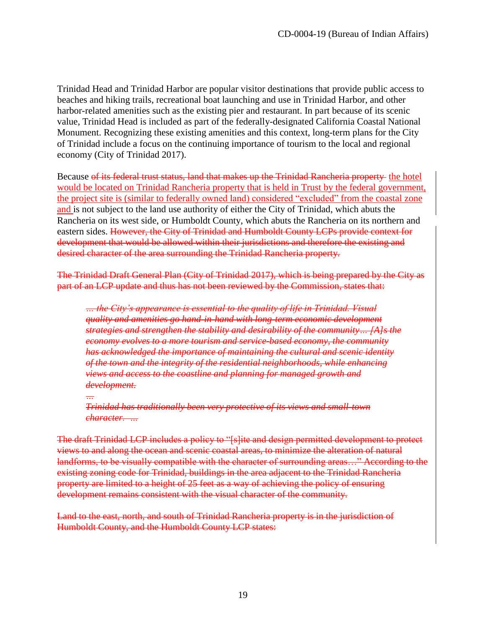Trinidad Head and Trinidad Harbor are popular visitor destinations that provide public access to beaches and hiking trails, recreational boat launching and use in Trinidad Harbor, and other harbor-related amenities such as the existing pier and restaurant. In part because of its scenic value, Trinidad Head is included as part of the federally-designated California Coastal National Monument. Recognizing these existing amenities and this context, long-term plans for the City of Trinidad include a focus on the continuing importance of tourism to the local and regional economy (City of Trinidad 2017).

Because of its federal trust status, land that makes up the Trinidad Rancheria property the hotel would be located on Trinidad Rancheria property that is held in Trust by the federal government, the project site is (similar to federally owned land) considered "excluded" from the coastal zone and is not subject to the land use authority of either the City of Trinidad, which abuts the Rancheria on its west side, or Humboldt County, which abuts the Rancheria on its northern and eastern sides. However, the City of Trinidad and Humboldt County LCPs provide context for development that would be allowed within their jurisdictions and therefore the existing and desired character of the area surrounding the Trinidad Rancheria property.

The Trinidad Draft General Plan (City of Trinidad 2017), which is being prepared by the City as part of an LCP update and thus has not been reviewed by the Commission, states that:

*… the City's appearance is essential to the quality of life in Trinidad. Visual quality and amenities go hand-in-hand with long-term economic development strategies and strengthen the stability and desirability of the community… [A]s the economy evolves to a more tourism and service-based economy, the community has acknowledged the importance of maintaining the cultural and scenic identity of the town and the integrity of the residential neighborhoods, while enhancing views and access to the coastline and planning for managed growth and development.*

*…*

*Trinidad has traditionally been very protective of its views and small-town character. …*

The draft Trinidad LCP includes a policy to "[s]ite and design permitted development to protect views to and along the ocean and scenic coastal areas, to minimize the alteration of natural landforms, to be visually compatible with the character of surrounding areas..." According to the existing zoning code for Trinidad, buildings in the area adjacent to the Trinidad Rancheria property are limited to a height of 25 feet as a way of achieving the policy of ensuring development remains consistent with the visual character of the community.

Land to the east, north, and south of Trinidad Rancheria property is in the jurisdiction of Humboldt County, and the Humboldt County LCP states: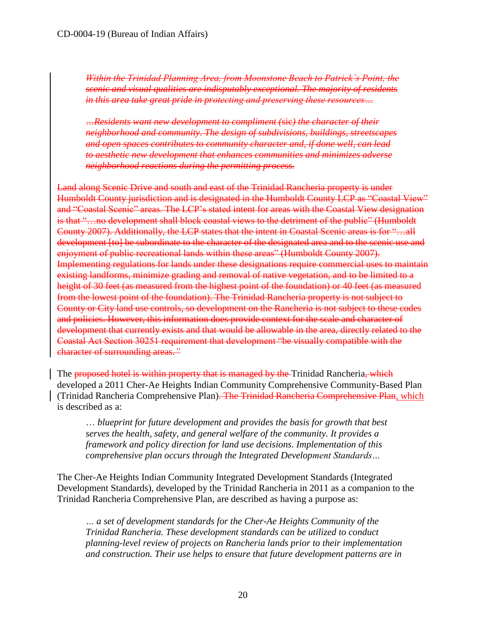*Within the Trinidad Planning Area, from Moonstone Beach to Patrick's Point, the scenic and visual qualities are indisputably exceptional. The majority of residents in this area take great pride in protecting and preserving these resources…*

*…Residents want new development to compliment (*sic*) the character of their neighborhood and community. The design of subdivisions, buildings, streetscapes and open spaces contributes to community character and, if done well, can lead to aesthetic new development that enhances communities and minimizes adverse neighborhood reactions during the permitting process.* 

Land along Scenic Drive and south and east of the Trinidad Rancheria property is under Humboldt County jurisdiction and is designated in the Humboldt County LCP as "Coastal View" and "Coastal Scenic" areas. The LCP's stated intent for areas with the Coastal View designation is that "…no development shall block coastal views to the detriment of the public" (Humboldt County 2007). Additionally, the LCP states that the intent in Coastal Scenic areas is for "…all development [to] be subordinate to the character of the designated area and to the scenic use and enjoyment of public recreational lands within these areas" (Humboldt County 2007). Implementing regulations for lands under these designations require commercial uses to maintain existing landforms, minimize grading and removal of native vegetation, and to be limited to a height of 30 feet (as measured from the highest point of the foundation) or 40 feet (as measured from the lowest point of the foundation). The Trinidad Rancheria property is not subject to County or City land use controls, so development on the Rancheria is not subject to these codes and policies. However, this information does provide context for the scale and character of development that currently exists and that would be allowable in the area, directly related to the Coastal Act Section 30251 requirement that development "be visually compatible with the character of surrounding areas.*"*

The proposed hotel is within property that is managed by the Trinidad Rancheria, which developed a 2011 Cher-Ae Heights Indian Community Comprehensive Community-Based Plan (Trinidad Rancheria Comprehensive Plan). The Trinidad Rancheria Comprehensive Plan, which is described as a:

… *blueprint for future development and provides the basis for growth that best serves the health, safety, and general welfare of the community. It provides a framework and policy direction for land use decisions. Implementation of this comprehensive plan occurs through the Integrated Development Standards…*

The Cher-Ae Heights Indian Community Integrated Development Standards (Integrated Development Standards), developed by the Trinidad Rancheria in 2011 as a companion to the Trinidad Rancheria Comprehensive Plan, are described as having a purpose as:

*… a set of development standards for the Cher-Ae Heights Community of the Trinidad Rancheria. These development standards can be utilized to conduct planning-level review of projects on Rancheria lands prior to their implementation and construction. Their use helps to ensure that future development patterns are in*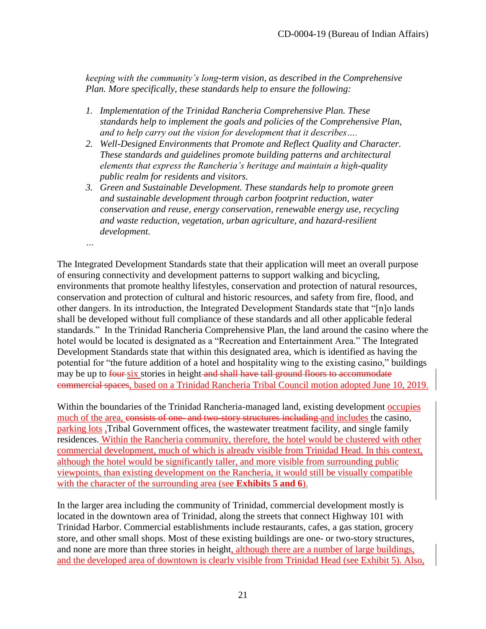*keeping with the community's long-term vision, as described in the Comprehensive Plan. More specifically, these standards help to ensure the following:*

- *1. Implementation of the Trinidad Rancheria Comprehensive Plan. These standards help to implement the goals and policies of the Comprehensive Plan, and to help carry out the vision for development that it describes….*
- *2. Well-Designed Environments that Promote and Reflect Quality and Character. These standards and guidelines promote building patterns and architectural elements that express the Rancheria's heritage and maintain a high-quality public realm for residents and visitors.*
- *3. Green and Sustainable Development. These standards help to promote green and sustainable development through carbon footprint reduction, water conservation and reuse, energy conservation, renewable energy use, recycling and waste reduction, vegetation, urban agriculture, and hazard-resilient development.*

*…*

The Integrated Development Standards state that their application will meet an overall purpose of ensuring connectivity and development patterns to support walking and bicycling, environments that promote healthy lifestyles, conservation and protection of natural resources, conservation and protection of cultural and historic resources, and safety from fire, flood, and other dangers. In its introduction, the Integrated Development Standards state that "[n]o lands shall be developed without full compliance of these standards and all other applicable federal standards." In the Trinidad Rancheria Comprehensive Plan, the land around the casino where the hotel would be located is designated as a "Recreation and Entertainment Area." The Integrated Development Standards state that within this designated area, which is identified as having the potential for "the future addition of a hotel and hospitality wing to the existing casino," buildings may be up to four six stories in height and shall have tall ground floors to accommodate commercial spaces, based on a Trinidad Rancheria Tribal Council motion adopted June 10, 2019.

Within the boundaries of the Trinidad Rancheria-managed land, existing development occupies much of the area, consists of one- and two-story structures including and includes the casino, parking lots ,Tribal Government offices, the wastewater treatment facility, and single family residences. Within the Rancheria community, therefore, the hotel would be clustered with other commercial development, much of which is already visible from Trinidad Head. In this context, although the hotel would be significantly taller, and more visible from surrounding public viewpoints, than existing development on the Rancheria, it would still be visually compatible with the character of the surrounding area (see **Exhibits 5 and 6**).

In the larger area including the community of Trinidad, commercial development mostly is located in the downtown area of Trinidad, along the streets that connect Highway 101 with Trinidad Harbor. Commercial establishments include restaurants, cafes, a gas station, grocery store, and other small shops. Most of these existing buildings are one- or two-story structures, and none are more than three stories in height, although there are a number of large buildings, and the developed area of downtown is clearly visible from Trinidad Head (see Exhibit 5). Also,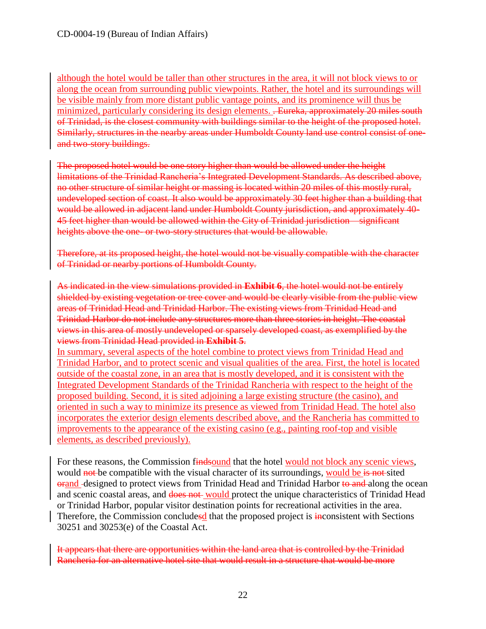although the hotel would be taller than other structures in the area, it will not block views to or along the ocean from surrounding public viewpoints. Rather, the hotel and its surroundings will be visible mainly from more distant public vantage points, and its prominence will thus be minimized, particularly considering its design elements. . Eureka, approximately 20 miles south of Trinidad, is the closest community with buildings similar to the height of the proposed hotel. Similarly, structures in the nearby areas under Humboldt County land use control consist of oneand two-story buildings.

The proposed hotel would be one story higher than would be allowed under the height limitations of the Trinidad Rancheria's Integrated Development Standards. As described above, no other structure of similar height or massing is located within 20 miles of this mostly rural, undeveloped section of coast. It also would be approximately 30 feet higher than a building that would be allowed in adjacent land under Humboldt County jurisdiction, and approximately 40- 45 feet higher than would be allowed within the City of Trinidad jurisdiction—significant heights above the one- or two-story structures that would be allowable.

Therefore, at its proposed height, the hotel would not be visually compatible with the character of Trinidad or nearby portions of Humboldt County.

As indicated in the view simulations provided in **Exhibit 6**, the hotel would not be entirely shielded by existing vegetation or tree cover and would be clearly visible from the public view areas of Trinidad Head and Trinidad Harbor. The existing views from Trinidad Head and Trinidad Harbor do not include any structures more than three stories in height. The coastal views in this area of mostly undeveloped or sparsely developed coast, as exemplified by the views from Trinidad Head provided in **Exhibit 5**.

In summary, several aspects of the hotel combine to protect views from Trinidad Head and Trinidad Harbor, and to protect scenic and visual qualities of the area. First, the hotel is located outside of the coastal zone, in an area that is mostly developed, and it is consistent with the Integrated Development Standards of the Trinidad Rancheria with respect to the height of the proposed building. Second, it is sited adjoining a large existing structure (the casino), and oriented in such a way to minimize its presence as viewed from Trinidad Head. The hotel also incorporates the exterior design elements described above, and the Rancheria has committed to improvements to the appearance of the existing casino (e.g., painting roof-top and visible elements, as described previously).

For these reasons, the Commission findsound that the hotel would not block any scenic views, would not be compatible with the visual character of its surroundings, would be is not sited ord designed to protect views from Trinidad Head and Trinidad Harbor to and along the ocean and scenic coastal areas, and does not would protect the unique characteristics of Trinidad Head or Trinidad Harbor, popular visitor destination points for recreational activities in the area. Therefore, the Commission concludesd that the proposed project is **inconsistent** with Sections 30251 and 30253(e) of the Coastal Act.

It appears that there are opportunities within the land area that is controlled by the Trinidad Rancheria for an alternative hotel site that would result in a structure that would be more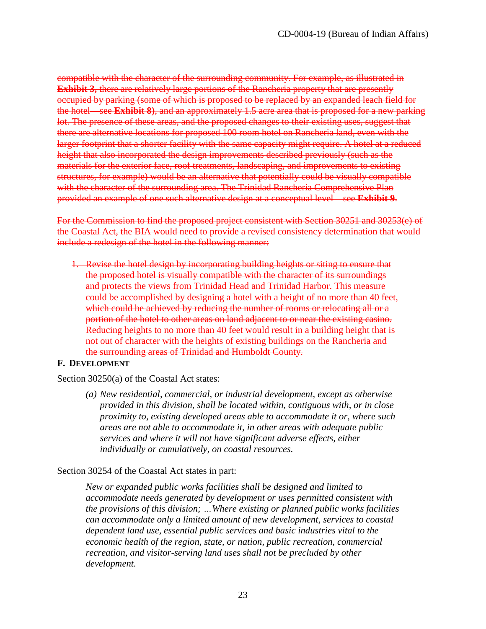compatible with the character of the surrounding community. For example, as illustrated in **Exhibit 3, there are relatively large portions of the Rancheria property that are presently** occupied by parking (some of which is proposed to be replaced by an expanded leach field for the hotel—see **Exhibit 8)**, and an approximately 1.5 acre area that is proposed for a new parking lot. The presence of these areas, and the proposed changes to their existing uses, suggest that there are alternative locations for proposed 100 room hotel on Rancheria land, even with the larger footprint that a shorter facility with the same capacity might require. A hotel at a reduced height that also incorporated the design improvements described previously (such as the materials for the exterior face, roof treatments, landscaping, and improvements to existing structures, for example) would be an alternative that potentially could be visually compatible with the character of the surrounding area. The Trinidad Rancheria Comprehensive Plan provided an example of one such alternative design at a conceptual level—see **Exhibit 9**.

For the Commission to find the proposed project consistent with Section 30251 and 30253(e) of the Coastal Act, the BIA would need to provide a revised consistency determination that would include a redesign of the hotel in the following manner:

1. Revise the hotel design by incorporating building heights or siting to ensure that the proposed hotel is visually compatible with the character of its surroundings and protects the views from Trinidad Head and Trinidad Harbor. This measure could be accomplished by designing a hotel with a height of no more than 40 feet, which could be achieved by reducing the number of rooms or relocating all or a portion of the hotel to other areas on land adjacent to or near the existing casino. Reducing heights to no more than 40 feet would result in a building height that is not out of character with the heights of existing buildings on the Rancheria and the surrounding areas of Trinidad and Humboldt County.

#### <span id="page-22-0"></span>**F. DEVELOPMENT**

Section 30250(a) of the Coastal Act states:

*(a) New residential, commercial, or industrial development, except as otherwise provided in this division, shall be located within, contiguous with, or in close proximity to, existing developed areas able to accommodate it or, where such areas are not able to accommodate it, in other areas with adequate public services and where it will not have significant adverse effects, either individually or cumulatively, on coastal resources.*

#### Section 30254 of the Coastal Act states in part:

*New or expanded public works facilities shall be designed and limited to accommodate needs generated by development or uses permitted consistent with the provisions of this division; …Where existing or planned public works facilities can accommodate only a limited amount of new development, services to coastal dependent land use, essential public services and basic industries vital to the economic health of the region, state, or nation, public recreation, commercial recreation, and visitor-serving land uses shall not be precluded by other development.*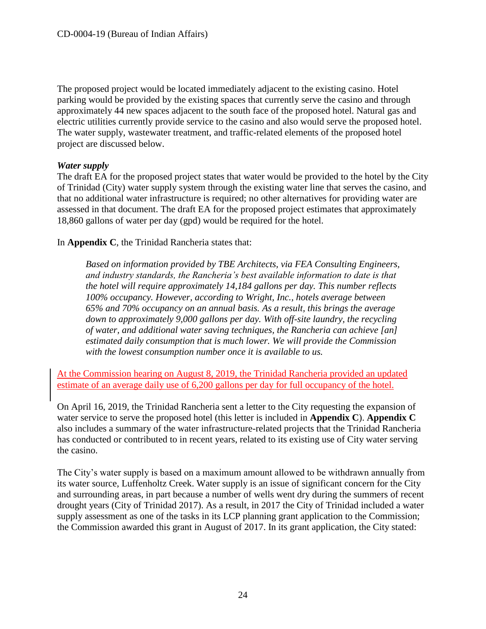The proposed project would be located immediately adjacent to the existing casino. Hotel parking would be provided by the existing spaces that currently serve the casino and through approximately 44 new spaces adjacent to the south face of the proposed hotel. Natural gas and electric utilities currently provide service to the casino and also would serve the proposed hotel. The water supply, wastewater treatment, and traffic-related elements of the proposed hotel project are discussed below.

#### *Water supply*

The draft EA for the proposed project states that water would be provided to the hotel by the City of Trinidad (City) water supply system through the existing water line that serves the casino, and that no additional water infrastructure is required; no other alternatives for providing water are assessed in that document. The draft EA for the proposed project estimates that approximately 18,860 gallons of water per day (gpd) would be required for the hotel.

In **Appendix C**, the Trinidad Rancheria states that:

*Based on information provided by TBE Architects, via FEA Consulting Engineers, and industry standards, the Rancheria's best available information to date is that the hotel will require approximately 14,184 gallons per day. This number reflects 100% occupancy. However, according to Wright, Inc., hotels average between 65% and 70% occupancy on an annual basis. As a result, this brings the average down to approximately 9,000 gallons per day. With off-site laundry, the recycling of water, and additional water saving techniques, the Rancheria can achieve [an] estimated daily consumption that is much lower. We will provide the Commission with the lowest consumption number once it is available to us.* 

At the Commission hearing on August 8, 2019, the Trinidad Rancheria provided an updated estimate of an average daily use of 6,200 gallons per day for full occupancy of the hotel.

On April 16, 2019, the Trinidad Rancheria sent a letter to the City requesting the expansion of water service to serve the proposed hotel (this letter is included in **Appendix C**). **Appendix C** also includes a summary of the water infrastructure-related projects that the Trinidad Rancheria has conducted or contributed to in recent years, related to its existing use of City water serving the casino.

The City's water supply is based on a maximum amount allowed to be withdrawn annually from its water source, Luffenholtz Creek. Water supply is an issue of significant concern for the City and surrounding areas, in part because a number of wells went dry during the summers of recent drought years (City of Trinidad 2017). As a result, in 2017 the City of Trinidad included a water supply assessment as one of the tasks in its LCP planning grant application to the Commission; the Commission awarded this grant in August of 2017. In its grant application, the City stated: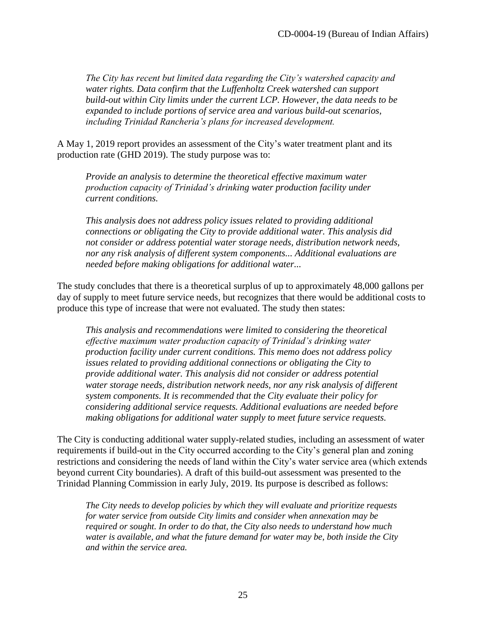*The City has recent but limited data regarding the City's watershed capacity and water rights. Data confirm that the Luffenholtz Creek watershed can support build-out within City limits under the current LCP. However, the data needs to be expanded to include portions of service area and various build-out scenarios, including Trinidad Rancheria's plans for increased development.* 

A May 1, 2019 report provides an assessment of the City's water treatment plant and its production rate (GHD 2019). The study purpose was to:

*Provide an analysis to determine the theoretical effective maximum water production capacity of Trinidad's drinking water production facility under current conditions.* 

*This analysis does not address policy issues related to providing additional connections or obligating the City to provide additional water. This analysis did not consider or address potential water storage needs, distribution network needs, nor any risk analysis of different system components... Additional evaluations are needed before making obligations for additional water...* 

The study concludes that there is a theoretical surplus of up to approximately 48,000 gallons per day of supply to meet future service needs, but recognizes that there would be additional costs to produce this type of increase that were not evaluated. The study then states:

*This analysis and recommendations were limited to considering the theoretical effective maximum water production capacity of Trinidad's drinking water production facility under current conditions. This memo does not address policy issues related to providing additional connections or obligating the City to provide additional water. This analysis did not consider or address potential water storage needs, distribution network needs, nor any risk analysis of different system components. It is recommended that the City evaluate their policy for considering additional service requests. Additional evaluations are needed before making obligations for additional water supply to meet future service requests.* 

The City is conducting additional water supply-related studies, including an assessment of water requirements if build-out in the City occurred according to the City's general plan and zoning restrictions and considering the needs of land within the City's water service area (which extends beyond current City boundaries). A draft of this build-out assessment was presented to the Trinidad Planning Commission in early July, 2019. Its purpose is described as follows:

*The City needs to develop policies by which they will evaluate and prioritize requests for water service from outside City limits and consider when annexation may be required or sought. In order to do that, the City also needs to understand how much water is available, and what the future demand for water may be, both inside the City and within the service area.*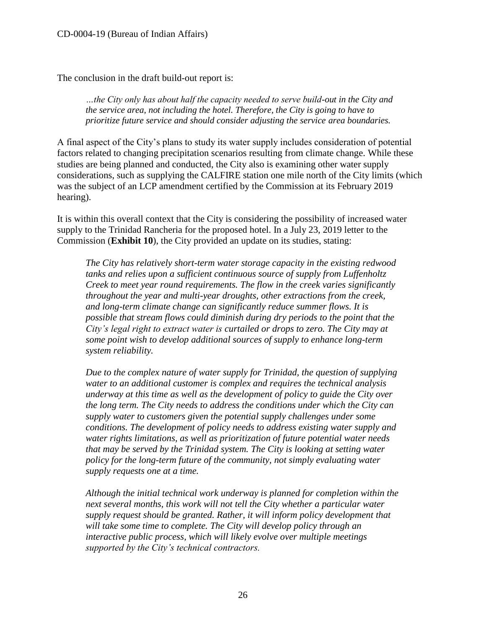The conclusion in the draft build-out report is:

*…the City only has about half the capacity needed to serve build-out in the City and the service area, not including the hotel. Therefore, the City is going to have to prioritize future service and should consider adjusting the service area boundaries.*

A final aspect of the City's plans to study its water supply includes consideration of potential factors related to changing precipitation scenarios resulting from climate change. While these studies are being planned and conducted, the City also is examining other water supply considerations, such as supplying the CALFIRE station one mile north of the City limits (which was the subject of an LCP amendment certified by the Commission at its February 2019 hearing).

It is within this overall context that the City is considering the possibility of increased water supply to the Trinidad Rancheria for the proposed hotel. In a July 23, 2019 letter to the Commission (**Exhibit 10**), the City provided an update on its studies, stating:

*The City has relatively short-term water storage capacity in the existing redwood tanks and relies upon a sufficient continuous source of supply from Luffenholtz Creek to meet year round requirements. The flow in the creek varies significantly throughout the year and multi-year droughts, other extractions from the creek, and long-term climate change can significantly reduce summer flows. It is possible that stream flows could diminish during dry periods to the point that the City's legal right to extract water is curtailed or drops to zero. The City may at some point wish to develop additional sources of supply to enhance long-term system reliability.* 

*Due to the complex nature of water supply for Trinidad, the question of supplying water to an additional customer is complex and requires the technical analysis underway at this time as well as the development of policy to guide the City over the long term. The City needs to address the conditions under which the City can supply water to customers given the potential supply challenges under some conditions. The development of policy needs to address existing water supply and water rights limitations, as well as prioritization of future potential water needs that may be served by the Trinidad system. The City is looking at setting water policy for the long-term future of the community, not simply evaluating water supply requests one at a time.* 

*Although the initial technical work underway is planned for completion within the next several months, this work will not tell the City whether a particular water supply request should be granted. Rather, it will inform policy development that will take some time to complete. The City will develop policy through an interactive public process, which will likely evolve over multiple meetings supported by the City's technical contractors.*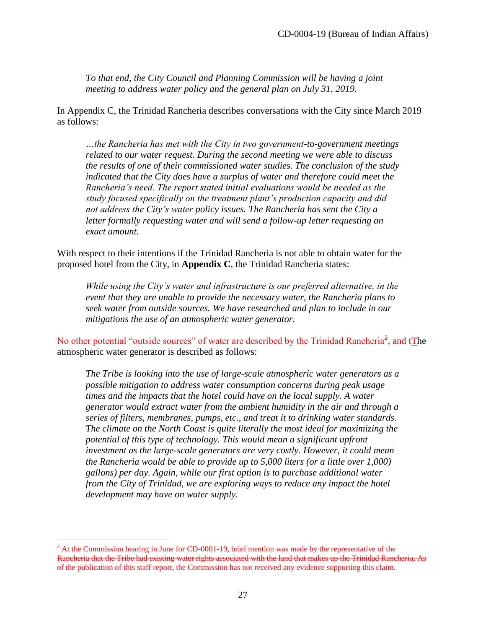*To that end, the City Council and Planning Commission will be having a joint meeting to address water policy and the general plan on July 31, 2019.* 

In Appendix C, the Trinidad Rancheria describes conversations with the City since March 2019 as follows:

*…the Rancheria has met with the City in two government-to-government meetings related to our water request. During the second meeting we were able to discuss the results of one of their commissioned water studies. The conclusion of the study indicated that the City does have a surplus of water and therefore could meet the Rancheria's need. The report stated initial evaluations would be needed as the study focused specifically on the treatment plant's production capacity and did not address the City's water policy issues. The Rancheria has sent the City a letter formally requesting water and will send a follow-up letter requesting an exact amount.* 

With respect to their intentions if the Trinidad Rancheria is not able to obtain water for the proposed hotel from the City, in **Appendix C**, the Trinidad Rancheria states:

*While using the City's water and infrastructure is our preferred alternative, in the event that they are unable to provide the necessary water, the Rancheria plans to seek water from outside sources. We have researched and plan to include in our mitigations the use of an atmospheric water generator.*

No other potential "outside sources" of water are described by the Trinidad Rancheria<sup>2</sup>, and tThe atmospheric water generator is described as follows:

*The Tribe is looking into the use of large-scale atmospheric water generators as a possible mitigation to address water consumption concerns during peak usage times and the impacts that the hotel could have on the local supply. A water generator would extract water from the ambient humidity in the air and through a series of filters, membranes, pumps, etc., and treat it to drinking water standards. The climate on the North Coast is quite literally the most ideal for maximizing the potential of this type of technology. This would mean a significant upfront investment as the large-scale generators are very costly. However, it could mean the Rancheria would be able to provide up to 5,000 liters (or a little over 1,000) gallons) per day. Again, while our first option is to purchase additional water from the City of Trinidad, we are exploring ways to reduce any impact the hotel development may have on water supply.* 

 $\overline{a}$ 

 $^{2}$  At the Commission hearing in June for CD-0001-19, brief mention was made by the representative of the Rancheria that the Tribe had existing water rights associated with the land that makes up the Trinidad Rancheria of the publication of this staff report, the Commission has not received any evidence supporting this claim.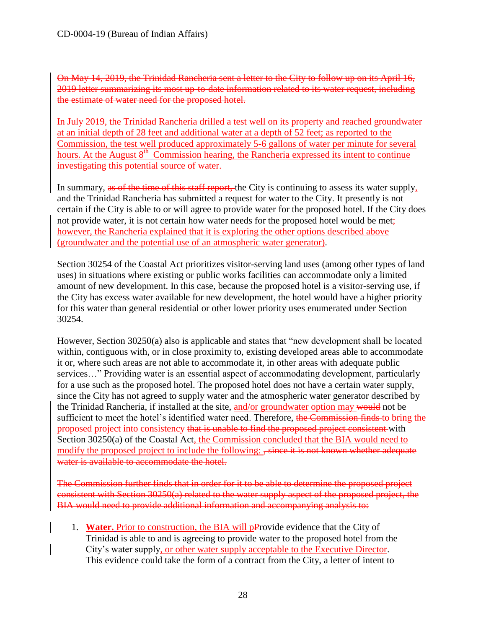On May 14, 2019, the Trinidad Rancheria sent a letter to the City to follow up on its April 16, 2019 letter summarizing its most up-to-date information related to its water request, including the estimate of water need for the proposed hotel.

In July 2019, the Trinidad Rancheria drilled a test well on its property and reached groundwater at an initial depth of 28 feet and additional water at a depth of 52 feet; as reported to the Commission, the test well produced approximately 5-6 gallons of water per minute for several hours. At the August 8<sup>th</sup> Commission hearing, the Rancheria expressed its intent to continue investigating this potential source of water.

In summary, as of the time of this staff report, the City is continuing to assess its water supply, and the Trinidad Rancheria has submitted a request for water to the City. It presently is not certain if the City is able to or will agree to provide water for the proposed hotel. If the City does not provide water, it is not certain how water needs for the proposed hotel would be met; however, the Rancheria explained that it is exploring the other options described above (groundwater and the potential use of an atmospheric water generator).

Section 30254 of the Coastal Act prioritizes visitor-serving land uses (among other types of land uses) in situations where existing or public works facilities can accommodate only a limited amount of new development. In this case, because the proposed hotel is a visitor-serving use, if the City has excess water available for new development, the hotel would have a higher priority for this water than general residential or other lower priority uses enumerated under Section 30254.

However, Section 30250(a) also is applicable and states that "new development shall be located within, contiguous with, or in close proximity to, existing developed areas able to accommodate it or, where such areas are not able to accommodate it, in other areas with adequate public services…" Providing water is an essential aspect of accommodating development, particularly for a use such as the proposed hotel. The proposed hotel does not have a certain water supply, since the City has not agreed to supply water and the atmospheric water generator described by the Trinidad Rancheria, if installed at the site, and/or groundwater option may would not be sufficient to meet the hotel's identified water need. Therefore, the Commission finds to bring the proposed project into consistency that is unable to find the proposed project consistent with Section 30250(a) of the Coastal Act, the Commission concluded that the BIA would need to modify the proposed project to include the following:  $\frac{1}{x}$  since it is not known whether adequate water is available to accommodate the hotel.

The Commission further finds that in order for it to be able to determine the proposed project consistent with Section 30250(a) related to the water supply aspect of the proposed project, the BIA would need to provide additional information and accompanying analysis to:

1. **Water.** Prior to construction, the BIA will pProvide evidence that the City of Trinidad is able to and is agreeing to provide water to the proposed hotel from the City's water supply, or other water supply acceptable to the Executive Director. This evidence could take the form of a contract from the City, a letter of intent to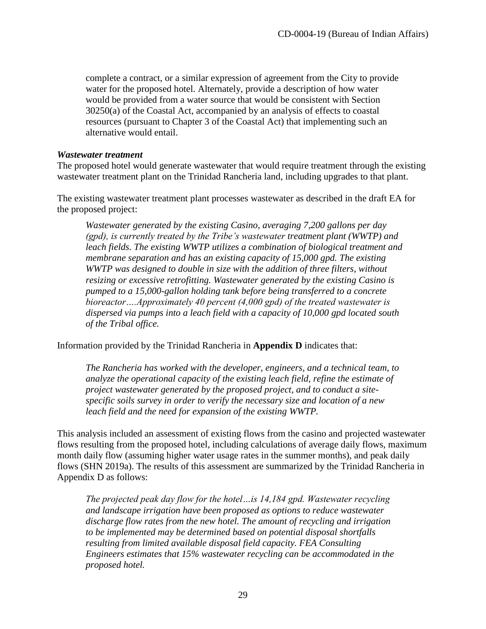complete a contract, or a similar expression of agreement from the City to provide water for the proposed hotel. Alternately, provide a description of how water would be provided from a water source that would be consistent with Section 30250(a) of the Coastal Act, accompanied by an analysis of effects to coastal resources (pursuant to Chapter 3 of the Coastal Act) that implementing such an alternative would entail.

#### *Wastewater treatment*

The proposed hotel would generate wastewater that would require treatment through the existing wastewater treatment plant on the Trinidad Rancheria land, including upgrades to that plant.

The existing wastewater treatment plant processes wastewater as described in the draft EA for the proposed project:

*Wastewater generated by the existing Casino, averaging 7,200 gallons per day (gpd), is currently treated by the Tribe's wastewater treatment plant (WWTP) and leach fields. The existing WWTP utilizes a combination of biological treatment and membrane separation and has an existing capacity of 15,000 gpd. The existing WWTP was designed to double in size with the addition of three filters, without resizing or excessive retrofitting. Wastewater generated by the existing Casino is pumped to a 15,000-gallon holding tank before being transferred to a concrete bioreactor….Approximately 40 percent (4,000 gpd) of the treated wastewater is dispersed via pumps into a leach field with a capacity of 10,000 gpd located south of the Tribal office.* 

Information provided by the Trinidad Rancheria in **Appendix D** indicates that:

*The Rancheria has worked with the developer, engineers, and a technical team, to analyze the operational capacity of the existing leach field, refine the estimate of project wastewater generated by the proposed project, and to conduct a sitespecific soils survey in order to verify the necessary size and location of a new leach field and the need for expansion of the existing WWTP.*

This analysis included an assessment of existing flows from the casino and projected wastewater flows resulting from the proposed hotel, including calculations of average daily flows, maximum month daily flow (assuming higher water usage rates in the summer months), and peak daily flows (SHN 2019a). The results of this assessment are summarized by the Trinidad Rancheria in Appendix D as follows:

*The projected peak day flow for the hotel…is 14,184 gpd. Wastewater recycling and landscape irrigation have been proposed as options to reduce wastewater discharge flow rates from the new hotel. The amount of recycling and irrigation to be implemented may be determined based on potential disposal shortfalls resulting from limited available disposal field capacity. FEA Consulting Engineers estimates that 15% wastewater recycling can be accommodated in the proposed hotel.*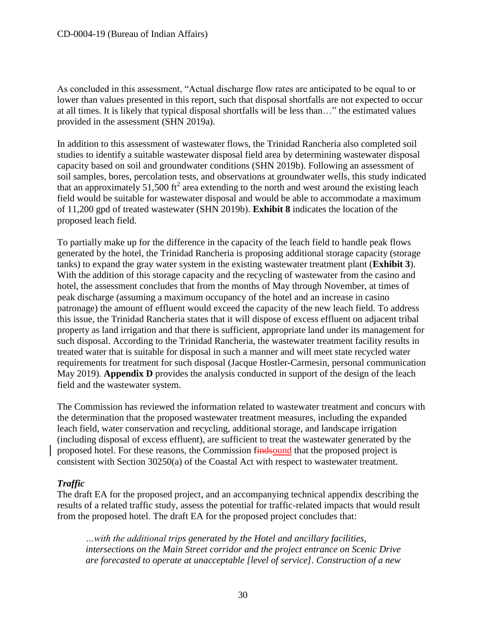As concluded in this assessment, "Actual discharge flow rates are anticipated to be equal to or lower than values presented in this report, such that disposal shortfalls are not expected to occur at all times. It is likely that typical disposal shortfalls will be less than…" the estimated values provided in the assessment (SHN 2019a).

In addition to this assessment of wastewater flows, the Trinidad Rancheria also completed soil studies to identify a suitable wastewater disposal field area by determining wastewater disposal capacity based on soil and groundwater conditions (SHN 2019b). Following an assessment of soil samples, bores, percolation tests, and observations at groundwater wells, this study indicated that an approximately 51,500 ft<sup>2</sup> area extending to the north and west around the existing leach field would be suitable for wastewater disposal and would be able to accommodate a maximum of 11,200 gpd of treated wastewater (SHN 2019b). **Exhibit 8** indicates the location of the proposed leach field.

To partially make up for the difference in the capacity of the leach field to handle peak flows generated by the hotel, the Trinidad Rancheria is proposing additional storage capacity (storage tanks) to expand the gray water system in the existing wastewater treatment plant (**Exhibit 3**). With the addition of this storage capacity and the recycling of wastewater from the casino and hotel, the assessment concludes that from the months of May through November, at times of peak discharge (assuming a maximum occupancy of the hotel and an increase in casino patronage) the amount of effluent would exceed the capacity of the new leach field. To address this issue, the Trinidad Rancheria states that it will dispose of excess effluent on adjacent tribal property as land irrigation and that there is sufficient, appropriate land under its management for such disposal. According to the Trinidad Rancheria, the wastewater treatment facility results in treated water that is suitable for disposal in such a manner and will meet state recycled water requirements for treatment for such disposal (Jacque Hostler-Carmesin, personal communication May 2019). **Appendix D** provides the analysis conducted in support of the design of the leach field and the wastewater system.

The Commission has reviewed the information related to wastewater treatment and concurs with the determination that the proposed wastewater treatment measures, including the expanded leach field, water conservation and recycling, additional storage, and landscape irrigation (including disposal of excess effluent), are sufficient to treat the wastewater generated by the proposed hotel. For these reasons, the Commission findsound that the proposed project is consistent with Section 30250(a) of the Coastal Act with respect to wastewater treatment.

#### *Traffic*

The draft EA for the proposed project, and an accompanying technical appendix describing the results of a related traffic study, assess the potential for traffic-related impacts that would result from the proposed hotel. The draft EA for the proposed project concludes that:

*…with the additional trips generated by the Hotel and ancillary facilities, intersections on the Main Street corridor and the project entrance on Scenic Drive are forecasted to operate at unacceptable [level of service]. Construction of a new*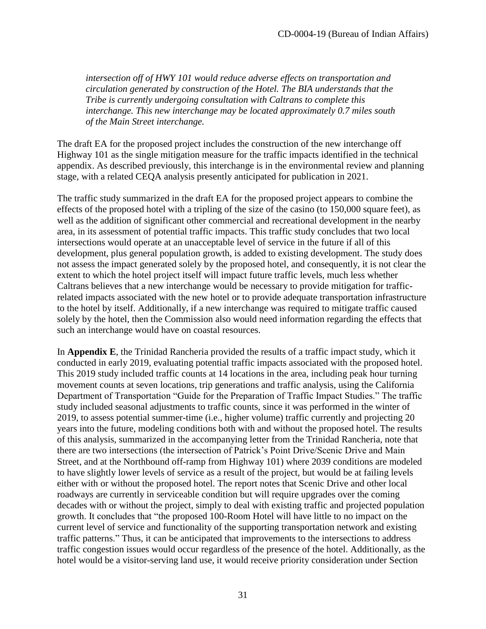*intersection off of HWY 101 would reduce adverse effects on transportation and circulation generated by construction of the Hotel. The BIA understands that the Tribe is currently undergoing consultation with Caltrans to complete this interchange. This new interchange may be located approximately 0.7 miles south of the Main Street interchange.*

The draft EA for the proposed project includes the construction of the new interchange off Highway 101 as the single mitigation measure for the traffic impacts identified in the technical appendix. As described previously, this interchange is in the environmental review and planning stage, with a related CEQA analysis presently anticipated for publication in 2021.

The traffic study summarized in the draft EA for the proposed project appears to combine the effects of the proposed hotel with a tripling of the size of the casino (to 150,000 square feet), as well as the addition of significant other commercial and recreational development in the nearby area, in its assessment of potential traffic impacts. This traffic study concludes that two local intersections would operate at an unacceptable level of service in the future if all of this development, plus general population growth, is added to existing development. The study does not assess the impact generated solely by the proposed hotel, and consequently, it is not clear the extent to which the hotel project itself will impact future traffic levels, much less whether Caltrans believes that a new interchange would be necessary to provide mitigation for trafficrelated impacts associated with the new hotel or to provide adequate transportation infrastructure to the hotel by itself. Additionally, if a new interchange was required to mitigate traffic caused solely by the hotel, then the Commission also would need information regarding the effects that such an interchange would have on coastal resources.

In **Appendix E**, the Trinidad Rancheria provided the results of a traffic impact study, which it conducted in early 2019, evaluating potential traffic impacts associated with the proposed hotel. This 2019 study included traffic counts at 14 locations in the area, including peak hour turning movement counts at seven locations, trip generations and traffic analysis, using the California Department of Transportation "Guide for the Preparation of Traffic Impact Studies." The traffic study included seasonal adjustments to traffic counts, since it was performed in the winter of 2019, to assess potential summer-time (i.e., higher volume) traffic currently and projecting 20 years into the future, modeling conditions both with and without the proposed hotel. The results of this analysis, summarized in the accompanying letter from the Trinidad Rancheria, note that there are two intersections (the intersection of Patrick's Point Drive/Scenic Drive and Main Street, and at the Northbound off-ramp from Highway 101) where 2039 conditions are modeled to have slightly lower levels of service as a result of the project, but would be at failing levels either with or without the proposed hotel. The report notes that Scenic Drive and other local roadways are currently in serviceable condition but will require upgrades over the coming decades with or without the project, simply to deal with existing traffic and projected population growth. It concludes that "the proposed 100-Room Hotel will have little to no impact on the current level of service and functionality of the supporting transportation network and existing traffic patterns." Thus, it can be anticipated that improvements to the intersections to address traffic congestion issues would occur regardless of the presence of the hotel. Additionally, as the hotel would be a visitor-serving land use, it would receive priority consideration under Section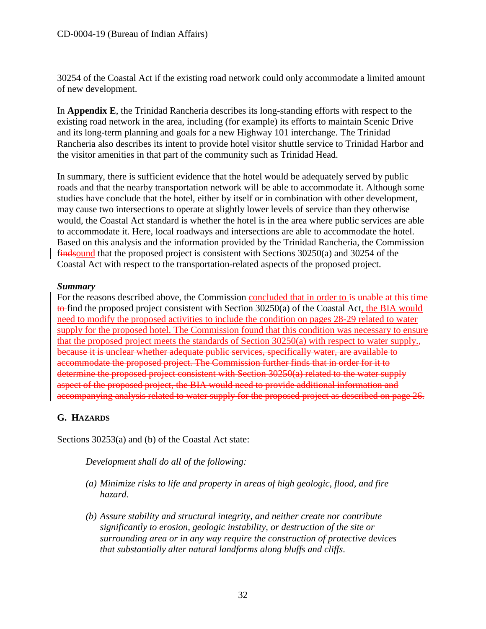30254 of the Coastal Act if the existing road network could only accommodate a limited amount of new development.

In **Appendix E**, the Trinidad Rancheria describes its long-standing efforts with respect to the existing road network in the area, including (for example) its efforts to maintain Scenic Drive and its long-term planning and goals for a new Highway 101 interchange. The Trinidad Rancheria also describes its intent to provide hotel visitor shuttle service to Trinidad Harbor and the visitor amenities in that part of the community such as Trinidad Head.

In summary, there is sufficient evidence that the hotel would be adequately served by public roads and that the nearby transportation network will be able to accommodate it. Although some studies have conclude that the hotel, either by itself or in combination with other development, may cause two intersections to operate at slightly lower levels of service than they otherwise would, the Coastal Act standard is whether the hotel is in the area where public services are able to accommodate it. Here, local roadways and intersections are able to accommodate the hotel. Based on this analysis and the information provided by the Trinidad Rancheria, the Commission findsound that the proposed project is consistent with Sections 30250(a) and 30254 of the Coastal Act with respect to the transportation-related aspects of the proposed project.

#### *Summary*

For the reasons described above, the Commission concluded that in order to is unable at this time to find the proposed project consistent with Section  $30250(a)$  of the Coastal Act, the BIA would need to modify the proposed activities to include the condition on pages 28-29 related to water supply for the proposed hotel. The Commission found that this condition was necessary to ensure that the proposed project meets the standards of Section 30250(a) with respect to water supply., because it is unclear whether adequate public services, specifically water, are available to accommodate the proposed project. The Commission further finds that in order for it to determine the proposed project consistent with Section 30250(a) related to the water supply aspect of the proposed project, the BIA would need to provide additional information and accompanying analysis related to water supply for the proposed project as described on page 26.

#### <span id="page-31-0"></span>**G. HAZARDS**

Sections 30253(a) and (b) of the Coastal Act state:

*Development shall do all of the following:*

- *(a) Minimize risks to life and property in areas of high geologic, flood, and fire hazard.*
- *(b) Assure stability and structural integrity, and neither create nor contribute significantly to erosion, geologic instability, or destruction of the site or surrounding area or in any way require the construction of protective devices that substantially alter natural landforms along bluffs and cliffs.*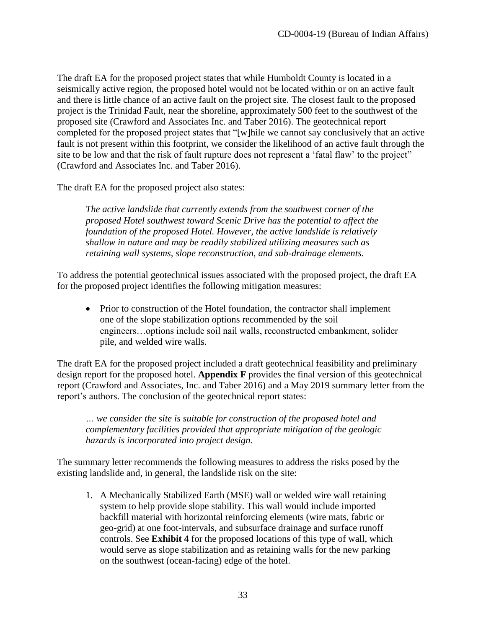The draft EA for the proposed project states that while Humboldt County is located in a seismically active region, the proposed hotel would not be located within or on an active fault and there is little chance of an active fault on the project site. The closest fault to the proposed project is the Trinidad Fault, near the shoreline, approximately 500 feet to the southwest of the proposed site (Crawford and Associates Inc. and Taber 2016). The geotechnical report completed for the proposed project states that "[w]hile we cannot say conclusively that an active fault is not present within this footprint, we consider the likelihood of an active fault through the site to be low and that the risk of fault rupture does not represent a 'fatal flaw' to the project" (Crawford and Associates Inc. and Taber 2016).

The draft EA for the proposed project also states:

*The active landslide that currently extends from the southwest corner of the proposed Hotel southwest toward Scenic Drive has the potential to affect the foundation of the proposed Hotel. However, the active landslide is relatively shallow in nature and may be readily stabilized utilizing measures such as retaining wall systems, slope reconstruction, and sub-drainage elements.* 

To address the potential geotechnical issues associated with the proposed project, the draft EA for the proposed project identifies the following mitigation measures:

• Prior to construction of the Hotel foundation, the contractor shall implement one of the slope stabilization options recommended by the soil engineers…options include soil nail walls, reconstructed embankment, solider pile, and welded wire walls.

The draft EA for the proposed project included a draft geotechnical feasibility and preliminary design report for the proposed hotel. **Appendix F** provides the final version of this geotechnical report (Crawford and Associates, Inc. and Taber 2016) and a May 2019 summary letter from the report's authors. The conclusion of the geotechnical report states:

*… we consider the site is suitable for construction of the proposed hotel and complementary facilities provided that appropriate mitigation of the geologic hazards is incorporated into project design.* 

The summary letter recommends the following measures to address the risks posed by the existing landslide and, in general, the landslide risk on the site:

1. A Mechanically Stabilized Earth (MSE) wall or welded wire wall retaining system to help provide slope stability. This wall would include imported backfill material with horizontal reinforcing elements (wire mats, fabric or geo-grid) at one foot-intervals, and subsurface drainage and surface runoff controls. See **Exhibit 4** for the proposed locations of this type of wall, which would serve as slope stabilization and as retaining walls for the new parking on the southwest (ocean-facing) edge of the hotel.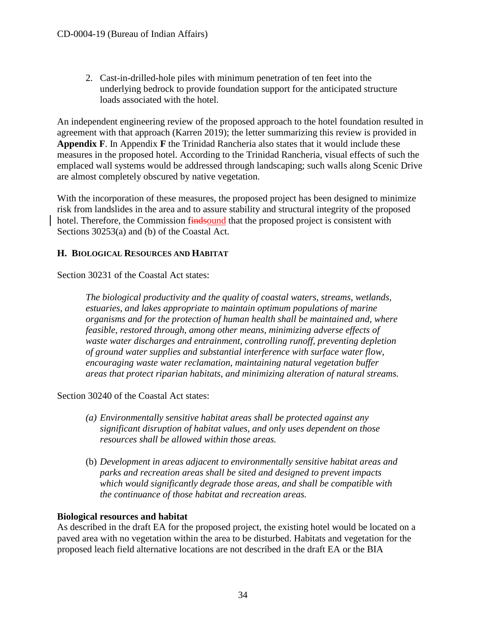2. Cast-in-drilled-hole piles with minimum penetration of ten feet into the underlying bedrock to provide foundation support for the anticipated structure loads associated with the hotel.

An independent engineering review of the proposed approach to the hotel foundation resulted in agreement with that approach (Karren 2019); the letter summarizing this review is provided in **Appendix F**. In Appendix **F** the Trinidad Rancheria also states that it would include these measures in the proposed hotel. According to the Trinidad Rancheria, visual effects of such the emplaced wall systems would be addressed through landscaping; such walls along Scenic Drive are almost completely obscured by native vegetation.

With the incorporation of these measures, the proposed project has been designed to minimize risk from landslides in the area and to assure stability and structural integrity of the proposed hotel. Therefore, the Commission findsound that the proposed project is consistent with Sections 30253(a) and (b) of the Coastal Act.

#### <span id="page-33-0"></span>**H. BIOLOGICAL RESOURCES AND HABITAT**

Section 30231 of the Coastal Act states:

*The biological productivity and the quality of coastal waters, streams, wetlands, estuaries, and lakes appropriate to maintain optimum populations of marine organisms and for the protection of human health shall be maintained and, where feasible, restored through, among other means, minimizing adverse effects of waste water discharges and entrainment, controlling runoff, preventing depletion of ground water supplies and substantial interference with surface water flow, encouraging waste water reclamation, maintaining natural vegetation buffer areas that protect riparian habitats, and minimizing alteration of natural streams.*

Section 30240 of the Coastal Act states:

- *(a) Environmentally sensitive habitat areas shall be protected against any significant disruption of habitat values, and only uses dependent on those resources shall be allowed within those areas.*
- (b) *Development in areas adjacent to environmentally sensitive habitat areas and parks and recreation areas shall be sited and designed to prevent impacts which would significantly degrade those areas, and shall be compatible with the continuance of those habitat and recreation areas.*

#### **Biological resources and habitat**

As described in the draft EA for the proposed project, the existing hotel would be located on a paved area with no vegetation within the area to be disturbed. Habitats and vegetation for the proposed leach field alternative locations are not described in the draft EA or the BIA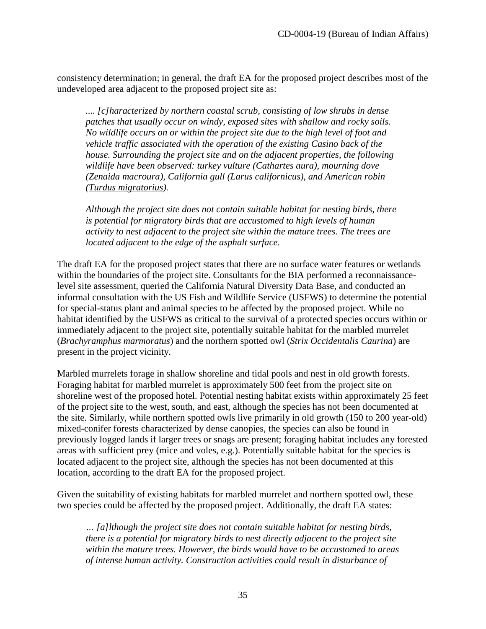consistency determination; in general, the draft EA for the proposed project describes most of the undeveloped area adjacent to the proposed project site as:

*.... [c]haracterized by northern coastal scrub, consisting of low shrubs in dense patches that usually occur on windy, exposed sites with shallow and rocky soils. No wildlife occurs on or within the project site due to the high level of foot and vehicle traffic associated with the operation of the existing Casino back of the house. Surrounding the project site and on the adjacent properties, the following wildlife have been observed: turkey vulture (Cathartes aura), mourning dove (Zenaida macroura), California gull (Larus californicus), and American robin (Turdus migratorius).* 

*Although the project site does not contain suitable habitat for nesting birds, there is potential for migratory birds that are accustomed to high levels of human activity to nest adjacent to the project site within the mature trees. The trees are located adjacent to the edge of the asphalt surface.* 

The draft EA for the proposed project states that there are no surface water features or wetlands within the boundaries of the project site. Consultants for the BIA performed a reconnaissancelevel site assessment, queried the California Natural Diversity Data Base, and conducted an informal consultation with the US Fish and Wildlife Service (USFWS) to determine the potential for special-status plant and animal species to be affected by the proposed project. While no habitat identified by the USFWS as critical to the survival of a protected species occurs within or immediately adjacent to the project site, potentially suitable habitat for the marbled murrelet (*Brachyramphus marmoratus*) and the northern spotted owl (*Strix Occidentalis Caurina*) are present in the project vicinity.

Marbled murrelets forage in shallow shoreline and tidal pools and nest in old growth forests. Foraging habitat for marbled murrelet is approximately 500 feet from the project site on shoreline west of the proposed hotel. Potential nesting habitat exists within approximately 25 feet of the project site to the west, south, and east, although the species has not been documented at the site. Similarly, while northern spotted owls live primarily in old growth (150 to 200 year-old) mixed-conifer forests characterized by dense canopies, the species can also be found in previously logged lands if larger trees or snags are present; foraging habitat includes any forested areas with sufficient prey (mice and voles, e.g.). Potentially suitable habitat for the species is located adjacent to the project site, although the species has not been documented at this location, according to the draft EA for the proposed project.

Given the suitability of existing habitats for marbled murrelet and northern spotted owl, these two species could be affected by the proposed project. Additionally, the draft EA states:

*… [a]lthough the project site does not contain suitable habitat for nesting birds, there is a potential for migratory birds to nest directly adjacent to the project site within the mature trees. However, the birds would have to be accustomed to areas of intense human activity. Construction activities could result in disturbance of*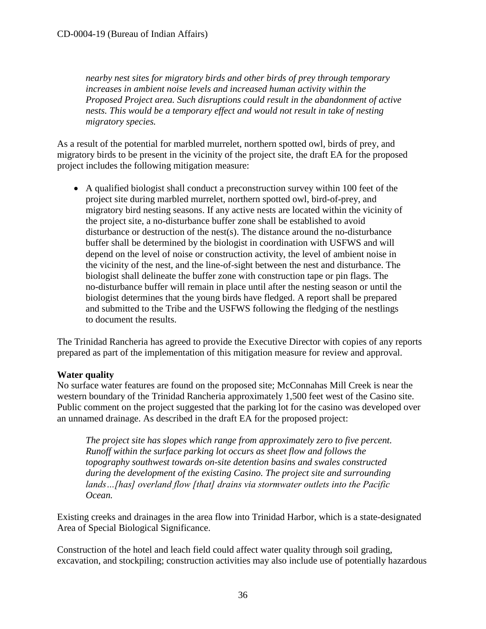*nearby nest sites for migratory birds and other birds of prey through temporary increases in ambient noise levels and increased human activity within the Proposed Project area. Such disruptions could result in the abandonment of active nests. This would be a temporary effect and would not result in take of nesting migratory species.* 

As a result of the potential for marbled murrelet, northern spotted owl, birds of prey, and migratory birds to be present in the vicinity of the project site, the draft EA for the proposed project includes the following mitigation measure:

 A qualified biologist shall conduct a preconstruction survey within 100 feet of the project site during marbled murrelet, northern spotted owl, bird-of-prey, and migratory bird nesting seasons. If any active nests are located within the vicinity of the project site, a no-disturbance buffer zone shall be established to avoid disturbance or destruction of the nest(s). The distance around the no-disturbance buffer shall be determined by the biologist in coordination with USFWS and will depend on the level of noise or construction activity, the level of ambient noise in the vicinity of the nest, and the line-of-sight between the nest and disturbance. The biologist shall delineate the buffer zone with construction tape or pin flags. The no-disturbance buffer will remain in place until after the nesting season or until the biologist determines that the young birds have fledged. A report shall be prepared and submitted to the Tribe and the USFWS following the fledging of the nestlings to document the results.

The Trinidad Rancheria has agreed to provide the Executive Director with copies of any reports prepared as part of the implementation of this mitigation measure for review and approval.

## **Water quality**

No surface water features are found on the proposed site; McConnahas Mill Creek is near the western boundary of the Trinidad Rancheria approximately 1,500 feet west of the Casino site. Public comment on the project suggested that the parking lot for the casino was developed over an unnamed drainage. As described in the draft EA for the proposed project:

*The project site has slopes which range from approximately zero to five percent. Runoff within the surface parking lot occurs as sheet flow and follows the topography southwest towards on-site detention basins and swales constructed during the development of the existing Casino. The project site and surrounding lands…[has] overland flow [that] drains via stormwater outlets into the Pacific Ocean.* 

Existing creeks and drainages in the area flow into Trinidad Harbor, which is a state-designated Area of Special Biological Significance.

Construction of the hotel and leach field could affect water quality through soil grading, excavation, and stockpiling; construction activities may also include use of potentially hazardous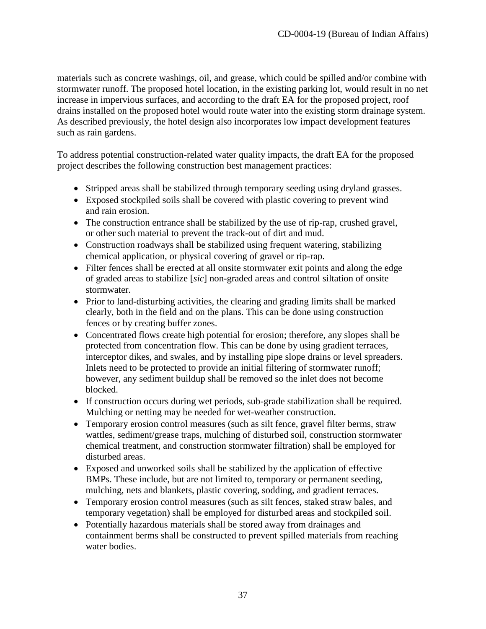materials such as concrete washings, oil, and grease, which could be spilled and/or combine with stormwater runoff. The proposed hotel location, in the existing parking lot, would result in no net increase in impervious surfaces, and according to the draft EA for the proposed project, roof drains installed on the proposed hotel would route water into the existing storm drainage system. As described previously, the hotel design also incorporates low impact development features such as rain gardens.

To address potential construction-related water quality impacts, the draft EA for the proposed project describes the following construction best management practices:

- Stripped areas shall be stabilized through temporary seeding using dryland grasses.
- Exposed stockpiled soils shall be covered with plastic covering to prevent wind and rain erosion.
- The construction entrance shall be stabilized by the use of rip-rap, crushed gravel, or other such material to prevent the track-out of dirt and mud.
- Construction roadways shall be stabilized using frequent watering, stabilizing chemical application, or physical covering of gravel or rip-rap.
- Filter fences shall be erected at all onsite stormwater exit points and along the edge of graded areas to stabilize [*sic*] non-graded areas and control siltation of onsite stormwater.
- Prior to land-disturbing activities, the clearing and grading limits shall be marked clearly, both in the field and on the plans. This can be done using construction fences or by creating buffer zones.
- Concentrated flows create high potential for erosion; therefore, any slopes shall be protected from concentration flow. This can be done by using gradient terraces, interceptor dikes, and swales, and by installing pipe slope drains or level spreaders. Inlets need to be protected to provide an initial filtering of stormwater runoff; however, any sediment buildup shall be removed so the inlet does not become blocked.
- If construction occurs during wet periods, sub-grade stabilization shall be required. Mulching or netting may be needed for wet-weather construction.
- Temporary erosion control measures (such as silt fence, gravel filter berms, straw wattles, sediment/grease traps, mulching of disturbed soil, construction stormwater chemical treatment, and construction stormwater filtration) shall be employed for disturbed areas.
- Exposed and unworked soils shall be stabilized by the application of effective BMPs. These include, but are not limited to, temporary or permanent seeding, mulching, nets and blankets, plastic covering, sodding, and gradient terraces.
- Temporary erosion control measures (such as silt fences, staked straw bales, and temporary vegetation) shall be employed for disturbed areas and stockpiled soil.
- Potentially hazardous materials shall be stored away from drainages and containment berms shall be constructed to prevent spilled materials from reaching water bodies.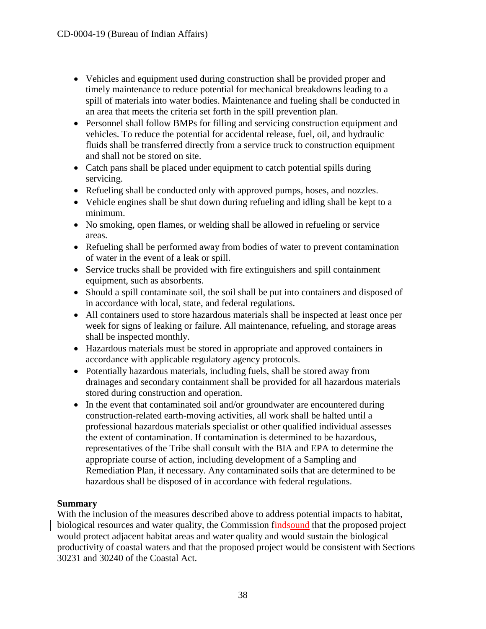- Vehicles and equipment used during construction shall be provided proper and timely maintenance to reduce potential for mechanical breakdowns leading to a spill of materials into water bodies. Maintenance and fueling shall be conducted in an area that meets the criteria set forth in the spill prevention plan.
- Personnel shall follow BMPs for filling and servicing construction equipment and vehicles. To reduce the potential for accidental release, fuel, oil, and hydraulic fluids shall be transferred directly from a service truck to construction equipment and shall not be stored on site.
- Catch pans shall be placed under equipment to catch potential spills during servicing.
- Refueling shall be conducted only with approved pumps, hoses, and nozzles.
- Vehicle engines shall be shut down during refueling and idling shall be kept to a minimum.
- No smoking, open flames, or welding shall be allowed in refueling or service areas.
- Refueling shall be performed away from bodies of water to prevent contamination of water in the event of a leak or spill.
- Service trucks shall be provided with fire extinguishers and spill containment equipment, such as absorbents.
- Should a spill contaminate soil, the soil shall be put into containers and disposed of in accordance with local, state, and federal regulations.
- All containers used to store hazardous materials shall be inspected at least once per week for signs of leaking or failure. All maintenance, refueling, and storage areas shall be inspected monthly.
- Hazardous materials must be stored in appropriate and approved containers in accordance with applicable regulatory agency protocols.
- Potentially hazardous materials, including fuels, shall be stored away from drainages and secondary containment shall be provided for all hazardous materials stored during construction and operation.
- In the event that contaminated soil and/or groundwater are encountered during construction-related earth-moving activities, all work shall be halted until a professional hazardous materials specialist or other qualified individual assesses the extent of contamination. If contamination is determined to be hazardous, representatives of the Tribe shall consult with the BIA and EPA to determine the appropriate course of action, including development of a Sampling and Remediation Plan, if necessary. Any contaminated soils that are determined to be hazardous shall be disposed of in accordance with federal regulations.

## **Summary**

With the inclusion of the measures described above to address potential impacts to habitat, biological resources and water quality, the Commission findsound that the proposed project would protect adjacent habitat areas and water quality and would sustain the biological productivity of coastal waters and that the proposed project would be consistent with Sections 30231 and 30240 of the Coastal Act.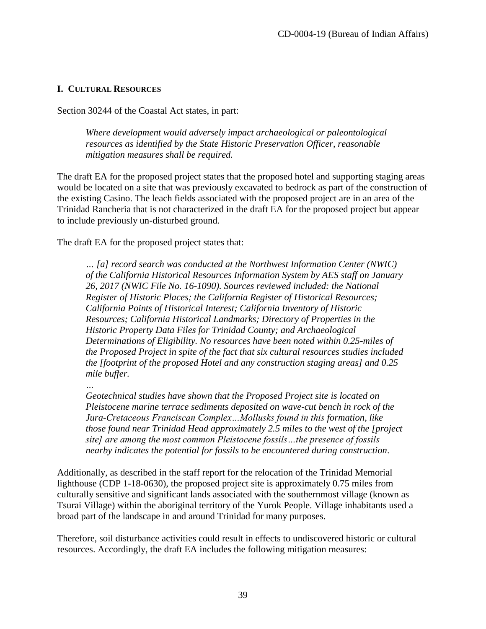#### <span id="page-38-0"></span>**I. CULTURAL RESOURCES**

Section 30244 of the Coastal Act states, in part:

*Where development would adversely impact archaeological or paleontological resources as identified by the State Historic Preservation Officer, reasonable mitigation measures shall be required.*

The draft EA for the proposed project states that the proposed hotel and supporting staging areas would be located on a site that was previously excavated to bedrock as part of the construction of the existing Casino. The leach fields associated with the proposed project are in an area of the Trinidad Rancheria that is not characterized in the draft EA for the proposed project but appear to include previously un-disturbed ground.

The draft EA for the proposed project states that:

*… [a] record search was conducted at the Northwest Information Center (NWIC) of the California Historical Resources Information System by AES staff on January 26, 2017 (NWIC File No. 16-1090). Sources reviewed included: the National Register of Historic Places; the California Register of Historical Resources; California Points of Historical Interest; California Inventory of Historic Resources; California Historical Landmarks; Directory of Properties in the Historic Property Data Files for Trinidad County; and Archaeological Determinations of Eligibility. No resources have been noted within 0.25-miles of the Proposed Project in spite of the fact that six cultural resources studies included the [footprint of the proposed Hotel and any construction staging areas] and 0.25 mile buffer.* 

*…*

*Geotechnical studies have shown that the Proposed Project site is located on Pleistocene marine terrace sediments deposited on wave-cut bench in rock of the Jura-Cretaceous Franciscan Complex…Mollusks found in this formation, like those found near Trinidad Head approximately 2.5 miles to the west of the [project site] are among the most common Pleistocene fossils…the presence of fossils nearby indicates the potential for fossils to be encountered during construction.* 

Additionally, as described in the staff report for the relocation of the Trinidad Memorial lighthouse (CDP 1-18-0630), the proposed project site is approximately 0.75 miles from culturally sensitive and significant lands associated with the southernmost village (known as Tsurai Village) within the aboriginal territory of the Yurok People. Village inhabitants used a broad part of the landscape in and around Trinidad for many purposes.

Therefore, soil disturbance activities could result in effects to undiscovered historic or cultural resources. Accordingly, the draft EA includes the following mitigation measures: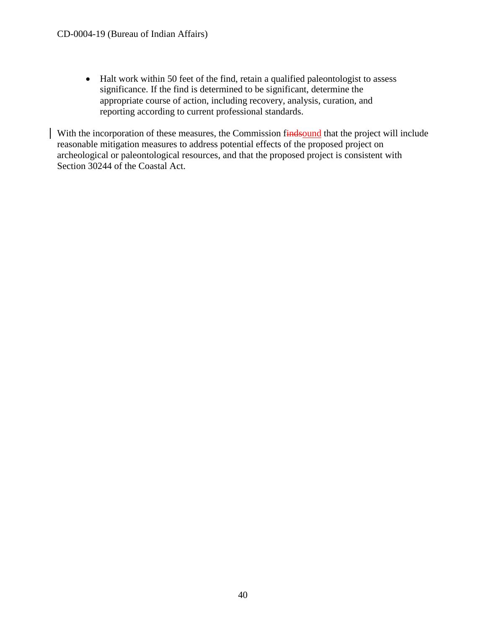• Halt work within 50 feet of the find, retain a qualified paleontologist to assess significance. If the find is determined to be significant, determine the appropriate course of action, including recovery, analysis, curation, and reporting according to current professional standards.

With the incorporation of these measures, the Commission findsound that the project will include reasonable mitigation measures to address potential effects of the proposed project on archeological or paleontological resources, and that the proposed project is consistent with Section 30244 of the Coastal Act.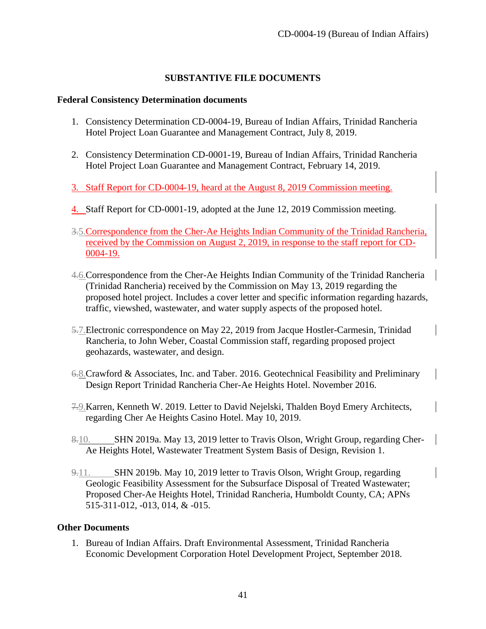### **SUBSTANTIVE FILE DOCUMENTS**

#### <span id="page-40-0"></span>**Federal Consistency Determination documents**

- 1. Consistency Determination CD-0004-19, Bureau of Indian Affairs, Trinidad Rancheria Hotel Project Loan Guarantee and Management Contract, July 8, 2019.
- 2. Consistency Determination CD-0001-19, Bureau of Indian Affairs, Trinidad Rancheria Hotel Project Loan Guarantee and Management Contract, February 14, 2019.
- 3. Staff Report for CD-0004-19, heard at the August 8, 2019 Commission meeting.
- 4. Staff Report for CD-0001-19, adopted at the June 12, 2019 Commission meeting.
- 3.5.Correspondence from the Cher-Ae Heights Indian Community of the Trinidad Rancheria, received by the Commission on August 2, 2019, in response to the staff report for CD-0004-19.
- 4.6.Correspondence from the Cher-Ae Heights Indian Community of the Trinidad Rancheria (Trinidad Rancheria) received by the Commission on May 13, 2019 regarding the proposed hotel project. Includes a cover letter and specific information regarding hazards, traffic, viewshed, wastewater, and water supply aspects of the proposed hotel.
- 5.7.Electronic correspondence on May 22, 2019 from Jacque Hostler-Carmesin, Trinidad Rancheria, to John Weber, Coastal Commission staff, regarding proposed project geohazards, wastewater, and design.
- 6.8.Crawford & Associates, Inc. and Taber. 2016. Geotechnical Feasibility and Preliminary Design Report Trinidad Rancheria Cher-Ae Heights Hotel. November 2016.
- 7.9.Karren, Kenneth W. 2019. Letter to David Nejelski, Thalden Boyd Emery Architects, regarding Cher Ae Heights Casino Hotel. May 10, 2019.
- 8.10. SHN 2019a. May 13, 2019 letter to Travis Olson, Wright Group, regarding Cher-Ae Heights Hotel, Wastewater Treatment System Basis of Design, Revision 1.
- 9.11. SHN 2019b. May 10, 2019 letter to Travis Olson, Wright Group, regarding Geologic Feasibility Assessment for the Subsurface Disposal of Treated Wastewater; Proposed Cher-Ae Heights Hotel, Trinidad Rancheria, Humboldt County, CA; APNs 515-311-012, -013, 014, & -015.

#### **Other Documents**

1. Bureau of Indian Affairs. Draft Environmental Assessment, Trinidad Rancheria Economic Development Corporation Hotel Development Project, September 2018.